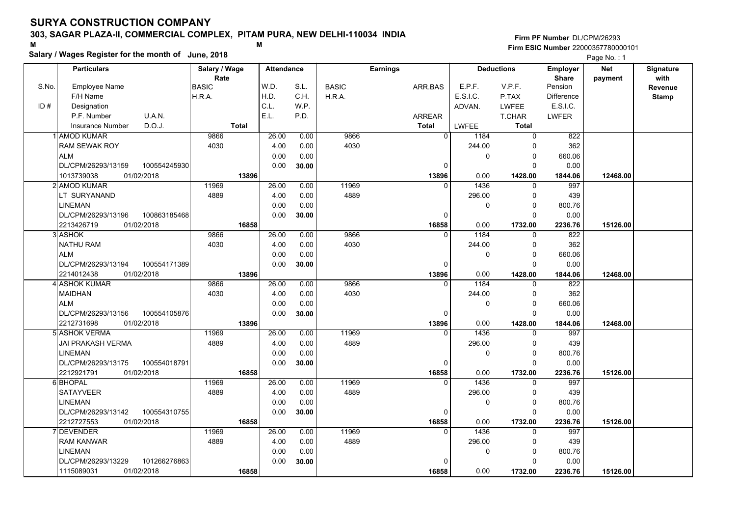### **303, SAGAR PLAZA-II, COMMERCIAL COMPLEX, PITAM PURA, NEW DELHI-110034 INDIA**

**Salary / Wages Register for the month of June, 2018 <sup>M</sup> <sup>M</sup>**

**Firm PF Number**DL/CPM/26293**Firm ESIC Number** 22000357780000101

|       | Salary / Wages Register for the month of June, 2018 |               |                   |       |              |                 |                        | Page No.: 1       |                   |            |                  |
|-------|-----------------------------------------------------|---------------|-------------------|-------|--------------|-----------------|------------------------|-------------------|-------------------|------------|------------------|
|       | <b>Particulars</b>                                  | Salary / Wage | <b>Attendance</b> |       |              | <b>Earnings</b> |                        | <b>Deductions</b> | Employer          | <b>Net</b> | <b>Signature</b> |
|       |                                                     | Rate          |                   |       |              |                 |                        |                   | <b>Share</b>      | payment    | with             |
| S.No. | <b>Employee Name</b>                                | <b>BASIC</b>  | W.D.              | S.L.  | <b>BASIC</b> | ARR.BAS         | E.P.F.                 | V.P.F.            | Pension           |            | Revenue          |
|       | F/H Name                                            | H.R.A.        | H.D.              | C.H.  | H.R.A.       |                 | E.S.I.C.               | P.TAX             | <b>Difference</b> |            | <b>Stamp</b>     |
| ID#   | Designation                                         |               | C.L.              | W.P.  |              |                 | ADVAN.                 | <b>LWFEE</b>      | E.S.I.C.          |            |                  |
|       | P.F. Number<br>U.A.N.                               |               | E.L.              | P.D.  |              | ARREAR          |                        | T.CHAR            | <b>LWFER</b>      |            |                  |
|       | D.O.J.<br><b>Insurance Number</b>                   | <b>Total</b>  |                   |       |              | <b>Total</b>    | <b>LWFEE</b>           | <b>Total</b>      |                   |            |                  |
|       | 1 AMOD KUMAR                                        | 9866          | 26.00             | 0.00  | 9866         |                 | $\overline{0}$<br>1184 | $\overline{0}$    | 822               |            |                  |
|       | <b>RAM SEWAK ROY</b>                                | 4030          | 4.00              | 0.00  | 4030         |                 | 244.00                 |                   | 362               |            |                  |
|       | <b>ALM</b>                                          |               | 0.00              | 0.00  |              |                 | $\mathbf{0}$           | 0                 | 660.06            |            |                  |
|       | DL/CPM/26293/13159<br>100554245930                  |               | 0.00              | 30.00 |              | $\Omega$        |                        | $\Omega$          | 0.00              |            |                  |
|       | 01/02/2018<br>1013739038                            | 13896         |                   |       |              | 13896           | 0.00                   | 1428.00           | 1844.06           | 12468.00   |                  |
|       | 2l AMOD KUMAR                                       | 11969         | 26.00             | 0.00  | 11969        | $\Omega$        | 1436                   | 0                 | 997               |            |                  |
|       | LT SURYANAND                                        | 4889          | 4.00              | 0.00  | 4889         |                 | 296.00                 | 0                 | 439               |            |                  |
|       | <b>LINEMAN</b>                                      |               | 0.00              | 0.00  |              |                 | $\mathbf{0}$           | $\Omega$          | 800.76            |            |                  |
|       | DL/CPM/26293/13196<br>100863185468                  |               | 0.00              | 30.00 |              | $\Omega$        |                        | $\Omega$          | 0.00              |            |                  |
|       | 2213426719<br>01/02/2018                            | 16858         |                   |       |              | 16858           | 0.00                   | 1732.00           | 2236.76           | 15126.00   |                  |
|       | 3 ASHOK                                             | 9866          | 26.00             | 0.00  | 9866         | $\Omega$        | 1184                   | $\Omega$          | 822               |            |                  |
|       | <b>NATHU RAM</b>                                    | 4030          | 4.00              | 0.00  | 4030         |                 | 244.00                 | $\Omega$          | 362               |            |                  |
|       | <b>ALM</b>                                          |               | 0.00              | 0.00  |              |                 | $\mathbf{0}$           | $\Omega$          | 660.06            |            |                  |
|       | DL/CPM/26293/13194<br>100554171389                  |               | 0.00              | 30.00 |              | $\Omega$        |                        | $\Omega$          | 0.00              |            |                  |
|       | 2214012438<br>01/02/2018                            | 13896         |                   |       |              | 13896           | 0.00                   | 1428.00           | 1844.06           | 12468.00   |                  |
|       | 4 ASHOK KUMAR                                       | 9866          | 26.00             | 0.00  | 9866         | $\Omega$        | 1184                   | 0                 | 822               |            |                  |
|       | <b>MAIDHAN</b>                                      | 4030          | 4.00              | 0.00  | 4030         |                 | 244.00                 | $\Omega$          | 362               |            |                  |
|       | <b>ALM</b>                                          |               | 0.00              | 0.00  |              |                 | $\mathbf{0}$           | 0                 | 660.06            |            |                  |
|       | DL/CPM/26293/13156<br>100554105876                  |               | 0.00              | 30.00 |              | 0               |                        | $\Omega$          | 0.00              |            |                  |
|       | 01/02/2018<br>2212731698                            | 13896         |                   |       |              | 13896           | 0.00                   | 1428.00           | 1844.06           | 12468.00   |                  |
|       | 5 ASHOK VERMA                                       | 11969         | 26.00             | 0.00  | 11969        |                 | 1436                   | $\Omega$          | 997               |            |                  |
|       | JAI PRAKASH VERMA                                   | 4889          | 4.00              | 0.00  | 4889         |                 | 296.00                 | 0                 | 439               |            |                  |
|       | <b>LINEMAN</b>                                      |               | 0.00              | 0.00  |              |                 | $\mathbf{0}$           | $\Omega$          | 800.76            |            |                  |
|       | DL/CPM/26293/13175<br>100554018791                  |               | 0.00              | 30.00 |              | $\Omega$        |                        | $\Omega$          | 0.00              |            |                  |
|       | 2212921791<br>01/02/2018                            | 16858         |                   |       |              | 16858           | 0.00                   | 1732.00           | 2236.76           | 15126.00   |                  |
|       | 6 BHOPAL                                            | 11969         | 26.00             | 0.00  | 11969        | $\Omega$        | 1436                   | 0                 | 997               |            |                  |
|       | SATAYVEER                                           | 4889          | 4.00              | 0.00  | 4889         |                 | 296.00                 | $\Omega$          | 439               |            |                  |
|       | <b>LINEMAN</b>                                      |               | 0.00              | 0.00  |              |                 | $\mathbf{0}$           | $\Omega$          | 800.76            |            |                  |
|       | DL/CPM/26293/13142<br>100554310755                  |               | 0.00              | 30.00 |              | $\Omega$        |                        | $\Omega$          | 0.00              |            |                  |
|       | 2212727553<br>01/02/2018                            | 16858         |                   |       |              | 16858           | 0.00                   | 1732.00           | 2236.76           | 15126.00   |                  |
|       | <b>DEVENDER</b>                                     | 11969         | 26.00             | 0.00  | 11969        | $\Omega$        | 1436                   | $\Omega$          | 997               |            |                  |
|       | <b>RAM KANWAR</b>                                   | 4889          | 4.00              | 0.00  | 4889         |                 | 296.00                 | $\Omega$          | 439               |            |                  |
|       | <b>LINEMAN</b>                                      |               | 0.00              | 0.00  |              |                 | 0                      | 0                 | 800.76            |            |                  |
|       | 101266276863<br>DL/CPM/26293/13229                  |               | 0.00              | 30.00 |              |                 |                        |                   | 0.00              |            |                  |
|       | 01/02/2018<br>1115089031                            | 16858         |                   |       |              | 16858           | 0.00                   | 1732.00           | 2236.76           | 15126.00   |                  |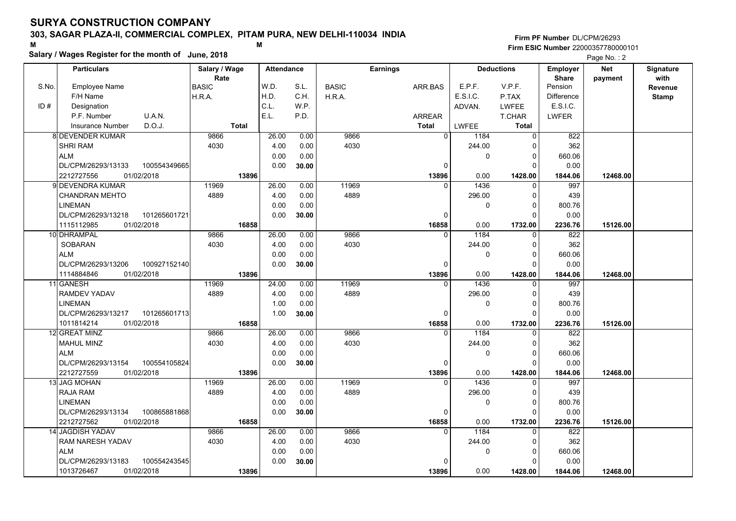### **303, SAGAR PLAZA-II, COMMERCIAL COMPLEX, PITAM PURA, NEW DELHI-110034 INDIA**

**Salary / Wages Register for the month of June, 2018 <sup>M</sup> <sup>M</sup>**

**Firm PF Number**DL/CPM/26293**Firm ESIC Number** 22000357780000101

|       | <b>Particulars</b>                                   | Salary / Wage        |              | <b>Attendance</b> |               |              | <b>Earnings</b>   |              | <b>Deductions</b>       | Employer                | <b>Net</b> | Signature       |
|-------|------------------------------------------------------|----------------------|--------------|-------------------|---------------|--------------|-------------------|--------------|-------------------------|-------------------------|------------|-----------------|
| S.No. | <b>Employee Name</b>                                 | Rate<br><b>BASIC</b> |              | W.D.              | S.L.          | <b>BASIC</b> | ARR.BAS           | E.P.F.       | V.P.F.                  | <b>Share</b><br>Pension | payment    | with<br>Revenue |
|       | F/H Name                                             | H.R.A.               |              | H.D.              | C.H.          | H.R.A.       |                   | E.S.I.C.     | P.TAX                   | <b>Difference</b>       |            | <b>Stamp</b>    |
| ID#   | Designation                                          |                      |              | C.L.              | W.P.          |              |                   | ADVAN.       | <b>LWFEE</b>            | E.S.I.C.                |            |                 |
|       | U.A.N.<br>P.F. Number                                |                      |              | E.L.              | P.D.          |              | <b>ARREAR</b>     |              | T.CHAR                  | <b>LWFER</b>            |            |                 |
|       | D.O.J.<br>Insurance Number                           |                      | <b>Total</b> |                   |               |              | <b>Total</b>      | LWFEE        | <b>Total</b>            |                         |            |                 |
|       | <b>8 DEVENDER KUMAR</b>                              | 9866                 |              | 26.00             | 0.00          | 9866         | $\overline{0}$    | 1184         | $\mathbf 0$             | 822                     |            |                 |
|       | <b>SHRI RAM</b>                                      | 4030                 |              | 4.00              | 0.00          | 4030         |                   | 244.00       | 0                       | 362                     |            |                 |
|       | <b>ALM</b>                                           |                      |              | 0.00              | 0.00          |              |                   | 0            | 0                       | 660.06                  |            |                 |
|       | DL/CPM/26293/13133<br>100554349665                   |                      |              | 0.00              | 30.00         |              | $\Omega$          |              | $\Omega$                | 0.00                    |            |                 |
|       | 2212727556<br>01/02/2018                             |                      | 13896        |                   |               |              | 13896             | 0.00         | 1428.00                 | 1844.06                 | 12468.00   |                 |
|       | 9l DEVENDRA KUMAR                                    | 11969                |              | 26.00             | 0.00          | 11969        | $\Omega$          | 1436         | 0                       | 997                     |            |                 |
|       | <b>CHANDRAN MEHTO</b>                                | 4889                 |              | 4.00              | 0.00          | 4889         |                   | 296.00       | $\mathbf 0$             | 439                     |            |                 |
|       |                                                      |                      |              |                   | 0.00          |              |                   |              |                         | 800.76                  |            |                 |
|       | <b>LINEMAN</b><br>DL/CPM/26293/13218<br>101265601721 |                      |              | 0.00<br>0.00      | 30.00         |              | $\Omega$          | 0            | $\mathbf 0$<br>$\Omega$ | 0.00                    |            |                 |
|       | 1115112985<br>01/02/2018                             |                      | 16858        |                   |               |              | 16858             | 0.00         | 1732.00                 | 2236.76                 | 15126.00   |                 |
|       | 10 DHRAMPAL                                          | 9866                 |              | 26.00             | 0.00          | 9866         | $\Omega$          | 1184         | $\mathbf 0$             | 822                     |            |                 |
|       | SOBARAN                                              | 4030                 |              | 4.00              |               | 4030         |                   |              | 0                       | 362                     |            |                 |
|       | <b>ALM</b>                                           |                      |              | 0.00              | 0.00          |              |                   | 244.00       | $\mathbf 0$             |                         |            |                 |
|       | DL/CPM/26293/13206<br>100927152140                   |                      |              | 0.00              | 0.00<br>30.00 |              | O                 | 0            | $\Omega$                | 660.06<br>0.00          |            |                 |
|       | 1114884846<br>01/02/2018                             |                      | 13896        |                   |               |              | 13896             | 0.00         | 1428.00                 | 1844.06                 | 12468.00   |                 |
|       | 11 GANESH                                            | 11969                |              | 24.00             | 0.00          | 11969        |                   | 1436         | 0                       | 997                     |            |                 |
|       | <b>RAMDEV YADAV</b>                                  | 4889                 |              | 4.00              | 0.00          | 4889         |                   | 296.00       | $\mathbf 0$             | 439                     |            |                 |
|       | <b>LINEMAN</b>                                       |                      |              | 1.00              |               |              |                   | 0            | $\mathbf 0$             |                         |            |                 |
|       | DL/CPM/26293/13217<br>101265601713                   |                      |              | 1.00              | 0.00          |              | O                 |              | $\Omega$                | 800.76<br>0.00          |            |                 |
|       | 1011814214<br>01/02/2018                             |                      | 16858        |                   | 30.00         |              | 16858             | 0.00         |                         |                         | 15126.00   |                 |
|       | 12 GREAT MINZ                                        | 9866                 |              | 26.00             | 0.00          | 9866         | $\Omega$          | 1184         | 1732.00<br>$\Omega$     | 2236.76<br>822          |            |                 |
|       | <b>MAHUL MINZ</b>                                    | 4030                 |              | 4.00              | 0.00          | 4030         |                   | 244.00       | $\Omega$                | 362                     |            |                 |
|       | <b>ALM</b>                                           |                      |              | 0.00              | 0.00          |              |                   | 0            | $\mathbf 0$             | 660.06                  |            |                 |
|       | DL/CPM/26293/13154<br>100554105824                   |                      |              | 0.00              |               |              | 0                 |              | $\mathbf 0$             | 0.00                    |            |                 |
|       | 2212727559<br>01/02/2018                             |                      |              |                   | 30.00         |              |                   | 0.00         |                         |                         |            |                 |
|       | <b>13 JAG MOHAN</b>                                  | 11969                | 13896        | 26.00             | 0.00          | 11969        | 13896<br>$\Omega$ | 1436         | 1428.00<br>0            | 1844.06<br>997          | 12468.00   |                 |
|       | <b>RAJA RAM</b>                                      | 4889                 |              | 4.00              | 0.00          | 4889         |                   | 296.00       | 0                       | 439                     |            |                 |
|       |                                                      |                      |              |                   |               |              |                   |              |                         |                         |            |                 |
|       | <b>LINEMAN</b>                                       |                      |              | 0.00              | 0.00          |              |                   | 0            | 0<br>$\Omega$           | 800.76                  |            |                 |
|       | DL/CPM/26293/13134<br>100865881868                   |                      |              | 0.00              | 30.00         |              | 0                 |              |                         | 0.00                    |            |                 |
|       | 2212727562<br>01/02/2018                             |                      | 16858        |                   |               |              | 16858<br>$\Omega$ | 0.00<br>1184 | 1732.00<br>$\Omega$     | 2236.76                 | 15126.00   |                 |
|       | 14 JAGDISH YADAV                                     | 9866                 |              | 26.00             | 0.00          | 9866         |                   |              |                         | 822                     |            |                 |
|       | RAM NARESH YADAV                                     | 4030                 |              | 4.00              | 0.00          | 4030         |                   | 244.00       | 0                       | 362                     |            |                 |
|       | <b>ALM</b>                                           |                      |              | 0.00              | 0.00          |              |                   | 0            | $\mathbf 0$             | 660.06                  |            |                 |
|       | DL/CPM/26293/13183<br>100554243545                   |                      |              | 0.00              | 30.00         |              | n                 |              | $\Omega$                | 0.00                    |            |                 |
|       | 1013726467<br>01/02/2018                             |                      | 13896        |                   |               |              | 13896             | 0.00         | 1428.00                 | 1844.06                 | 12468.00   |                 |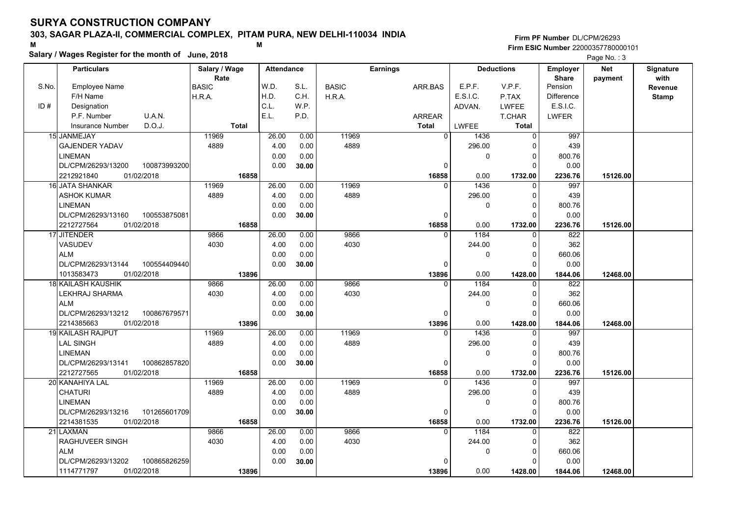### **303, SAGAR PLAZA-II, COMMERCIAL COMPLEX, PITAM PURA, NEW DELHI-110034 INDIA**

**Salary / Wages Register for the month of June, 2018 <sup>M</sup> <sup>M</sup>**

#### **Firm PF Number**DL/CPM/26293**Firm ESIC Number** 22000357780000101

|       | <b>Particulars</b>                 | Salary / Wage        | <b>Attendance</b> |       |              | <b>Earnings</b> |              | <b>Deductions</b> | Employer                | <b>Net</b> | Signature       |
|-------|------------------------------------|----------------------|-------------------|-------|--------------|-----------------|--------------|-------------------|-------------------------|------------|-----------------|
| S.No. | Employee Name                      | Rate<br><b>BASIC</b> | W.D.              | S.L.  | <b>BASIC</b> | ARR.BAS         | E.P.F.       | V.P.F.            | <b>Share</b><br>Pension | payment    | with<br>Revenue |
|       | F/H Name                           | H.R.A.               | H.D.              | C.H.  | H.R.A.       |                 | E.S.I.C.     | P.TAX             | <b>Difference</b>       |            | <b>Stamp</b>    |
| ID#   | Designation                        |                      | C.L.              | W.P.  |              |                 | ADVAN.       | <b>LWFEE</b>      | E.S.I.C.                |            |                 |
|       | U.A.N.<br>P.F. Number              |                      | E.L.              | P.D.  |              | ARREAR          |              | T.CHAR            | <b>LWFER</b>            |            |                 |
|       | D.O.J.<br>Insurance Number         | <b>Total</b>         |                   |       |              | <b>Total</b>    | <b>LWFEE</b> | <b>Total</b>      |                         |            |                 |
|       | 15 JANMEJAY                        | 11969                | 26.00             | 0.00  | 11969        | $\overline{0}$  | 1436         | 0                 | 997                     |            |                 |
|       | <b>GAJENDER YADAV</b>              | 4889                 | 4.00              | 0.00  | 4889         |                 | 296.00       | $\Omega$          | 439                     |            |                 |
|       | <b>LINEMAN</b>                     |                      | 0.00              | 0.00  |              |                 | 0            | $\Omega$          | 800.76                  |            |                 |
|       | DL/CPM/26293/13200<br>100873993200 |                      | 0.00              | 30.00 |              | 0               |              | $\Omega$          | 0.00                    |            |                 |
|       | 2212921840<br>01/02/2018           | 16858                |                   |       |              | 16858           | 0.00         | 1732.00           | 2236.76                 | 15126.00   |                 |
|       | 16 JATA SHANKAR                    | 11969                | 26.00             | 0.00  | 11969        | $\Omega$        | 1436         | $\Omega$          | 997                     |            |                 |
|       | ASHOK KUMAR                        | 4889                 | 4.00              | 0.00  | 4889         |                 | 296.00       | 0                 | 439                     |            |                 |
|       | <b>LINEMAN</b>                     |                      | 0.00              | 0.00  |              |                 | 0            | $\Omega$          | 800.76                  |            |                 |
|       | DL/CPM/26293/13160<br>100553875081 |                      | 0.00              | 30.00 |              | 0               |              | $\Omega$          | 0.00                    |            |                 |
|       | 2212727564<br>01/02/2018           | 16858                |                   |       |              | 16858           | 0.00         | 1732.00           | 2236.76                 | 15126.00   |                 |
|       | 17 JITENDER                        | 9866                 | 26.00             | 0.00  | 9866         | $\Omega$        | 1184         | $\Omega$          | 822                     |            |                 |
|       | <b>VASUDEV</b>                     | 4030                 | 4.00              | 0.00  | 4030         |                 | 244.00       | $\Omega$          | 362                     |            |                 |
|       | <b>ALM</b>                         |                      | 0.00              | 0.00  |              |                 | 0            | $\Omega$          | 660.06                  |            |                 |
|       | DL/CPM/26293/13144<br>100554409440 |                      | 0.00              | 30.00 |              | $\Omega$        |              | $\Omega$          | 0.00                    |            |                 |
|       | 1013583473<br>01/02/2018           | 13896                |                   |       |              | 13896           | 0.00         | 1428.00           | 1844.06                 | 12468.00   |                 |
|       | 18 KAILASH KAUSHIK                 | 9866                 | 26.00             | 0.00  | 9866         | $\Omega$        | 1184         | 0                 | 822                     |            |                 |
|       | LEKHRAJ SHARMA                     | 4030                 | 4.00              | 0.00  | 4030         |                 | 244.00       | 0                 | 362                     |            |                 |
|       | <b>ALM</b>                         |                      | 0.00              | 0.00  |              |                 | 0            | $\Omega$          | 660.06                  |            |                 |
|       | DL/CPM/26293/13212<br>100867679571 |                      | 0.00              | 30.00 |              | $\Omega$        |              | $\Omega$          | 0.00                    |            |                 |
|       | 01/02/2018<br>2214385663           | 13896                |                   |       |              | 13896           | 0.00         | 1428.00           | 1844.06                 | 12468.00   |                 |
|       | 19 KAILASH RAJPUT                  | 11969                | 26.00             | 0.00  | 11969        | $\Omega$        | 1436         | $\Omega$          | 997                     |            |                 |
|       | LAL SINGH                          | 4889                 | 4.00              | 0.00  | 4889         |                 | 296.00       | $\Omega$          | 439                     |            |                 |
|       | <b>LINEMAN</b>                     |                      | 0.00              | 0.00  |              |                 | 0            | $\Omega$          | 800.76                  |            |                 |
|       | DL/CPM/26293/13141<br>100862857820 |                      | 0.00              | 30.00 |              | 0               |              | $\Omega$          | 0.00                    |            |                 |
|       | 2212727565<br>01/02/2018           | 16858                |                   |       |              | 16858           | 0.00         | 1732.00           | 2236.76                 | 15126.00   |                 |
|       | 20 KANAHIYA LAL                    | 11969                | 26.00             | 0.00  | 11969        | 0               | 1436         | 0                 | 997                     |            |                 |
|       | <b>CHATURI</b>                     | 4889                 | 4.00              | 0.00  | 4889         |                 | 296.00       | $\Omega$          | 439                     |            |                 |
|       | <b>LINEMAN</b>                     |                      | 0.00              | 0.00  |              |                 | 0            | $\Omega$          | 800.76                  |            |                 |
|       | 101265601709<br>DL/CPM/26293/13216 |                      | 0.00              | 30.00 |              | 0               |              | $\Omega$          | 0.00                    |            |                 |
|       | 01/02/2018<br>2214381535           | 16858                |                   |       |              | 16858           | 0.00         | 1732.00           | 2236.76                 | 15126.00   |                 |
|       | 21 LAXMAN                          | 9866                 | 26.00             | 0.00  | 9866         | $\Omega$        | 1184         | $\Omega$          | 822                     |            |                 |
|       | RAGHUVEER SINGH                    | 4030                 | 4.00              | 0.00  | 4030         |                 | 244.00       | $\Omega$          | 362                     |            |                 |
|       | <b>ALM</b>                         |                      | 0.00              | 0.00  |              |                 | 0            | $\Omega$          | 660.06                  |            |                 |
|       | 100865826259<br>DL/CPM/26293/13202 |                      | 0.00              | 30.00 |              | $\Omega$        |              | $\Omega$          | 0.00                    |            |                 |
|       | 1114771797<br>01/02/2018           | 13896                |                   |       |              | 13896           | 0.00         | 1428.00           | 1844.06                 | 12468.00   |                 |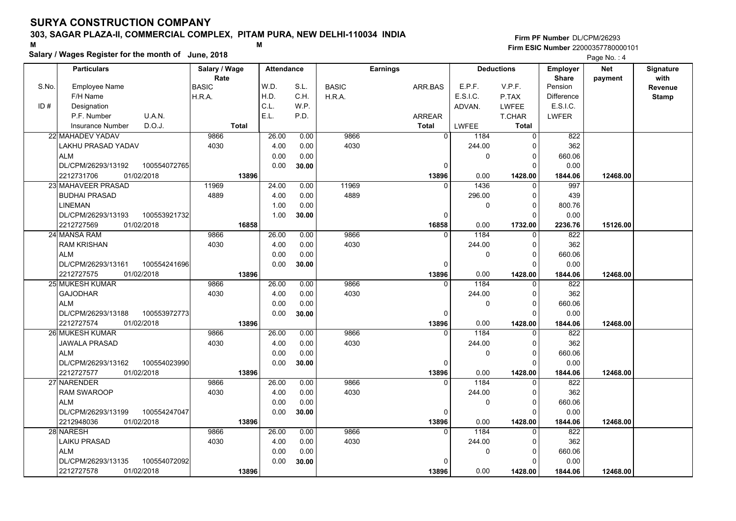### **303, SAGAR PLAZA-II, COMMERCIAL COMPLEX, PITAM PURA, NEW DELHI-110034 INDIA**

**Salary / Wages Register for the month of June, 2018 <sup>M</sup> <sup>M</sup>**

#### **Firm PF Number**DL/CPM/26293**Firm ESIC Number** 22000357780000101

|       | <b>Particulars</b>                 | Salary / Wage        | <b>Attendance</b> |       |              | <b>Earnings</b> |              | <b>Deductions</b> | Employer                | <b>Net</b> | Signature       |
|-------|------------------------------------|----------------------|-------------------|-------|--------------|-----------------|--------------|-------------------|-------------------------|------------|-----------------|
| S.No. | Employee Name                      | Rate<br><b>BASIC</b> | W.D.              | S.L.  | <b>BASIC</b> | ARR.BAS         | E.P.F.       | V.P.F.            | <b>Share</b><br>Pension | payment    | with<br>Revenue |
|       | F/H Name                           | H.R.A.               | H.D.              | C.H.  | H.R.A.       |                 | E.S.I.C.     | P.TAX             | <b>Difference</b>       |            | <b>Stamp</b>    |
| ID#   | Designation                        |                      | C.L.              | W.P.  |              |                 | ADVAN.       | <b>LWFEE</b>      | E.S.I.C.                |            |                 |
|       | U.A.N.<br>P.F. Number              |                      | E.L.              | P.D.  |              | <b>ARREAR</b>   |              | T.CHAR            | <b>LWFER</b>            |            |                 |
|       | D.O.J.<br><b>Insurance Number</b>  | <b>Total</b>         |                   |       |              | <b>Total</b>    | <b>LWFEE</b> | <b>Total</b>      |                         |            |                 |
|       | 22 MAHADEV YADAV                   | 9866                 | 26.00             | 0.00  | 9866         | $\overline{0}$  | 1184         | 0                 | 822                     |            |                 |
|       | LAKHU PRASAD YADAV                 | 4030                 | 4.00              | 0.00  | 4030         |                 | 244.00       | 0                 | 362                     |            |                 |
|       | <b>ALM</b>                         |                      | 0.00              | 0.00  |              |                 | 0            | $\mathbf 0$       | 660.06                  |            |                 |
|       | DL/CPM/26293/13192<br>100554072765 |                      | 0.00              | 30.00 |              | $\Omega$        |              | $\Omega$          | 0.00                    |            |                 |
|       | 2212731706<br>01/02/2018           | 13896                |                   |       |              | 13896           | 0.00         | 1428.00           | 1844.06                 | 12468.00   |                 |
|       | 23 MAHAVEER PRASAD                 | 11969                | 24.00             | 0.00  | 11969        | <sup>0</sup>    | 1436         | 0                 | 997                     |            |                 |
|       | <b>BUDHAI PRASAD</b>               | 4889                 | 4.00              | 0.00  | 4889         |                 | 296.00       | $\mathbf 0$       | 439                     |            |                 |
|       | <b>LINEMAN</b>                     |                      | 1.00              | 0.00  |              |                 | 0            | $\Omega$          | 800.76                  |            |                 |
|       | DL/CPM/26293/13193<br>100553921732 |                      | 1.00              | 30.00 |              | $\Omega$        |              | $\Omega$          | 0.00                    |            |                 |
|       | 2212727569<br>01/02/2018           | 16858                |                   |       |              | 16858           | 0.00         | 1732.00           | 2236.76                 | 15126.00   |                 |
|       | 24 MANSA RAM                       | 9866                 | 26.00             | 0.00  | 9866         | $\Omega$        | 1184         | $\mathbf 0$       | 822                     |            |                 |
|       | <b>RAM KRISHAN</b>                 | 4030                 | 4.00              | 0.00  | 4030         |                 | 244.00       | $\mathbf 0$       | 362                     |            |                 |
|       | <b>ALM</b>                         |                      | 0.00              | 0.00  |              |                 | 0            | $\mathbf 0$       | 660.06                  |            |                 |
|       | DL/CPM/26293/13161<br>100554241696 |                      | 0.00              | 30.00 |              | 0               |              | $\Omega$          | 0.00                    |            |                 |
|       | 2212727575<br>01/02/2018           | 13896                |                   |       |              | 13896           | 0.00         | 1428.00           | 1844.06                 | 12468.00   |                 |
|       | 25 MUKESH KUMAR                    | 9866                 | 26.00             | 0.00  | 9866         | $\Omega$        | 1184         | $\mathbf 0$       | 822                     |            |                 |
|       | <b>GAJODHAR</b>                    | 4030                 | 4.00              | 0.00  | 4030         |                 | 244.00       | $\mathbf 0$       | 362                     |            |                 |
|       | <b>ALM</b>                         |                      | 0.00              | 0.00  |              |                 | 0            | $\Omega$          | 660.06                  |            |                 |
|       | DL/CPM/26293/13188<br>100553972773 |                      | 0.00              | 30.00 |              | $\Omega$        |              | $\Omega$          | 0.00                    |            |                 |
|       | 2212727574<br>01/02/2018           | 13896                |                   |       |              | 13896           | 0.00         | 1428.00           | 1844.06                 | 12468.00   |                 |
|       | 26 MUKESH KUMAR                    | 9866                 | 26.00             | 0.00  | 9866         | $\Omega$        | 1184         | $\Omega$          | 822                     |            |                 |
|       | <b>JAWALA PRASAD</b>               | 4030                 | 4.00              | 0.00  | 4030         |                 | 244.00       | $\Omega$          | 362                     |            |                 |
|       | <b>ALM</b>                         |                      | 0.00              | 0.00  |              |                 | 0            | $\mathbf 0$       | 660.06                  |            |                 |
|       | DL/CPM/26293/13162<br>100554023990 |                      | 0.00              | 30.00 |              | 0               |              | $\Omega$          | 0.00                    |            |                 |
|       | 2212727577<br>01/02/2018           | 13896                |                   |       |              | 13896           | 0.00         | 1428.00           | 1844.06                 | 12468.00   |                 |
|       | 27 NARENDER                        | 9866                 | 26.00             | 0.00  | 9866         | $\Omega$        | 1184         | $\Omega$          | 822                     |            |                 |
|       | <b>RAM SWAROOP</b>                 | 4030                 | 4.00              | 0.00  | 4030         |                 | 244.00       | 0                 | 362                     |            |                 |
|       | <b>ALM</b>                         |                      | 0.00              | 0.00  |              |                 | 0            | $\mathbf 0$       | 660.06                  |            |                 |
|       | 100554247047<br>DL/CPM/26293/13199 |                      | 0.00              | 30.00 |              | 0               |              | $\Omega$          | 0.00                    |            |                 |
|       | 2212948036<br>01/02/2018           | 13896                |                   |       |              | 13896           | 0.00         | 1428.00           | 1844.06                 | 12468.00   |                 |
|       | 28 NARESH                          | 9866                 | 26.00             | 0.00  | 9866         | $\Omega$        | 1184         | $\Omega$          | 822                     |            |                 |
|       | <b>LAIKU PRASAD</b>                | 4030                 | 4.00              | 0.00  | 4030         |                 | 244.00       | $\mathbf 0$       | 362                     |            |                 |
|       | <b>ALM</b>                         |                      | 0.00              | 0.00  |              |                 | 0            | $\mathbf 0$       | 660.06                  |            |                 |
|       | DL/CPM/26293/13135<br>100554072092 |                      | 0.00              | 30.00 |              | n               |              | $\Omega$          | 0.00                    |            |                 |
|       | 2212727578<br>01/02/2018           | 13896                |                   |       |              | 13896           | 0.00         | 1428.00           | 1844.06                 | 12468.00   |                 |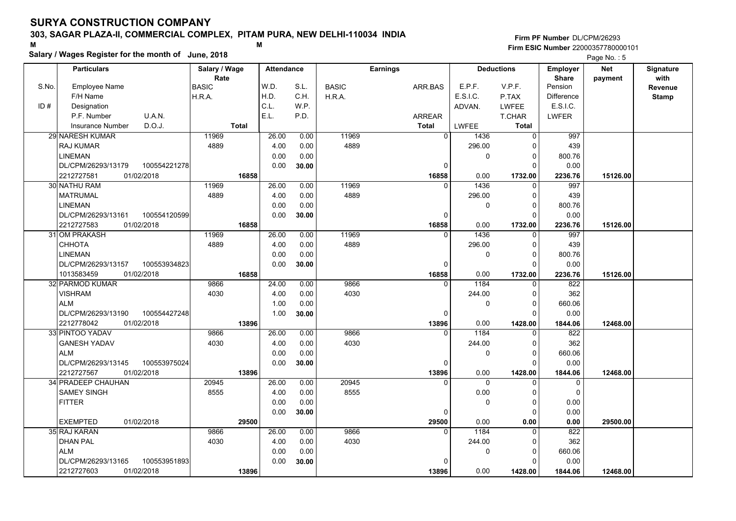### **303, SAGAR PLAZA-II, COMMERCIAL COMPLEX, PITAM PURA, NEW DELHI-110034 INDIA**

**Salary / Wages Register for the month of June, 2018 <sup>M</sup> <sup>M</sup>**

#### **Firm PF Number**DL/CPM/26293**Firm ESIC Number** 22000357780000101

|       | <b>Particulars</b>                          | Salary / Wage        | <b>Attendance</b> |              |              | <b>Earnings</b>   |              | <b>Deductions</b>    | <b>Employer</b>         | <b>Net</b> | Signature       |
|-------|---------------------------------------------|----------------------|-------------------|--------------|--------------|-------------------|--------------|----------------------|-------------------------|------------|-----------------|
| S.No. | <b>Employee Name</b>                        | Rate<br><b>BASIC</b> | W.D.              | S.L.         | <b>BASIC</b> | ARR.BAS           | E.P.F.       | V.P.F.               | <b>Share</b><br>Pension | payment    | with<br>Revenue |
|       | F/H Name                                    | H.R.A.               | H.D.              | C.H.         | H.R.A.       |                   | E.S.I.C.     | P.TAX                | <b>Difference</b>       |            | <b>Stamp</b>    |
| ID#   | Designation                                 |                      | C.L.              | WP.          |              |                   | ADVAN.       | LWFEE                | E.S.I.C.                |            |                 |
|       | U.A.N.<br>P.F. Number                       |                      | E.L.              | P.D.         |              | <b>ARREAR</b>     |              | T.CHAR               | LWFER                   |            |                 |
|       | D.O.J.<br><b>Insurance Number</b>           | <b>Total</b>         |                   |              |              | <b>Total</b>      | LWFEE        | Total                |                         |            |                 |
|       | 29 NARESH KUMAR                             | 11969                | 26.00             | 0.00         | 11969        | $\overline{0}$    | 1436         | $\Omega$             | 997                     |            |                 |
|       | <b>RAJ KUMAR</b>                            | 4889                 | 4.00              | 0.00         | 4889         |                   | 296.00       | 0                    | 439                     |            |                 |
|       | <b>LINEMAN</b>                              |                      | 0.00              | 0.00         |              |                   | 0            | $\mathbf{0}$         | 800.76                  |            |                 |
|       | DL/CPM/26293/13179<br>100554221278          |                      | 0.00              |              |              | 0                 |              | O                    | 0.00                    |            |                 |
|       | 2212727581<br>01/02/2018                    | 16858                |                   | 30.00        |              | 16858             | 0.00         | 1732.00              | 2236.76                 | 15126.00   |                 |
|       | 30 NATHU RAM                                | 11969                | 26.00             | 0.00         | 11969        | $\Omega$          | 1436         | $\Omega$             | 997                     |            |                 |
|       | <b>MATRUMAL</b>                             | 4889                 | 4.00              | 0.00         | 4889         |                   | 296.00       | $\Omega$             | 439                     |            |                 |
|       |                                             |                      |                   |              |              |                   |              | $\mathbf 0$          |                         |            |                 |
|       | <b>LINEMAN</b><br>DL/CPM/26293/13161        |                      | 0.00              | 0.00         |              |                   | 0            | $\Omega$             | 800.76                  |            |                 |
|       | 100554120599                                | 16858                | 0.00              | 30.00        |              | 0                 |              |                      | 0.00                    |            |                 |
|       | 2212727583<br>01/02/2018<br>31 OM PRAKASH   | 11969                | 26.00             | 0.00         | 11969        | 16858<br>$\Omega$ | 0.00<br>1436 | 1732.00<br>$\Omega$  | 2236.76<br>997          | 15126.00   |                 |
|       | CHHOTA                                      | 4889                 | 4.00              | 0.00         | 4889         |                   | 296.00       | $\Omega$             | 439                     |            |                 |
|       | <b>LINEMAN</b>                              |                      |                   |              |              |                   |              | $\Omega$             |                         |            |                 |
|       | DL/CPM/26293/13157                          |                      | 0.00<br>0.00      | 0.00         |              | $\Omega$          | 0            | $\Omega$             | 800.76                  |            |                 |
|       | 100553934823                                |                      |                   | 30.00        |              |                   |              |                      | 0.00                    |            |                 |
|       | 1013583459<br>01/02/2018<br>32 PARMOD KUMAR | 16858                |                   |              | 9866         | 16858<br>$\Omega$ | 0.00<br>1184 | 1732.00              | 2236.76<br>822          | 15126.00   |                 |
|       | <b>VISHRAM</b>                              | 9866<br>4030         | 24.00<br>4.00     | 0.00<br>0.00 | 4030         |                   | 244.00       | 0<br>$\Omega$        | 362                     |            |                 |
|       | <b>ALM</b>                                  |                      | 1.00              | 0.00         |              |                   | 0            | $\Omega$             | 660.06                  |            |                 |
|       |                                             |                      | 1.00              |              |              | $\Omega$          |              | $\Omega$             |                         |            |                 |
|       | DL/CPM/26293/13190<br>100554427248          |                      |                   | 30.00        |              |                   | 0.00         |                      | 0.00                    |            |                 |
|       | 2212778042<br>01/02/2018<br>33 PINTOO YADAV | 13896<br>9866        | 26.00             | 0.00         | 9866         | 13896<br>$\Omega$ | 1184         | 1428.00              | 1844.06<br>822          | 12468.00   |                 |
|       | <b>GANESH YADAV</b>                         | 4030                 | 4.00              |              | 4030         |                   |              | $\Omega$             | 362                     |            |                 |
|       | <b>ALM</b>                                  |                      | 0.00              | 0.00<br>0.00 |              |                   | 244.00<br>0  | $\Omega$             | 660.06                  |            |                 |
|       | 100553975024<br>DL/CPM/26293/13145          |                      | 0.00              |              |              | $\mathbf 0$       |              | $\Omega$             | 0.00                    |            |                 |
|       | 01/02/2018                                  |                      |                   | 30.00        |              |                   | 0.00         |                      |                         |            |                 |
|       | 2212727567<br>34 PRADEEP CHAUHAN            | 13896<br>20945       | 26.00             | 0.00         | 20945        | 13896<br>$\Omega$ | $\Omega$     | 1428.00<br>$\Omega$  | 1844.06                 | 12468.00   |                 |
|       | <b>SAMEY SINGH</b>                          | 8555                 | 4.00              | 0.00         | 8555         |                   | 0.00         | $\Omega$             | 0<br>$\pmb{0}$          |            |                 |
|       |                                             |                      |                   | 0.00         |              |                   |              |                      |                         |            |                 |
|       | <b>FITTER</b>                               |                      | 0.00<br>0.00      |              |              | $\Omega$          | 0            | 0<br>$\Omega$        | 0.00                    |            |                 |
|       | <b>EXEMPTED</b><br>01/02/2018               |                      |                   | 30.00        |              |                   |              |                      | 0.00                    |            |                 |
|       | 35 RAJ KARAN                                | 29500<br>9866        | 26.00             | 0.00         | 9866         | 29500<br>$\Omega$ | 0.00<br>1184 | 0.00<br>$\Omega$     | 0.00<br>822             | 29500.00   |                 |
|       | <b>DHAN PAL</b>                             | 4030                 | 4.00              | 0.00         | 4030         |                   | 244.00       | $\Omega$             | 362                     |            |                 |
|       |                                             |                      |                   |              |              |                   |              |                      |                         |            |                 |
|       | <b>ALM</b>                                  |                      | 0.00              | 0.00         |              | $\Omega$          | 0            | $\Omega$<br>$\Omega$ | 660.06                  |            |                 |
|       | DL/CPM/26293/13165<br>100553951893          |                      | 0.00              | 30.00        |              |                   |              |                      | 0.00                    |            |                 |
|       | 2212727603<br>01/02/2018                    | 13896                |                   |              |              | 13896             | 0.00         | 1428.00              | 1844.06                 | 12468.00   |                 |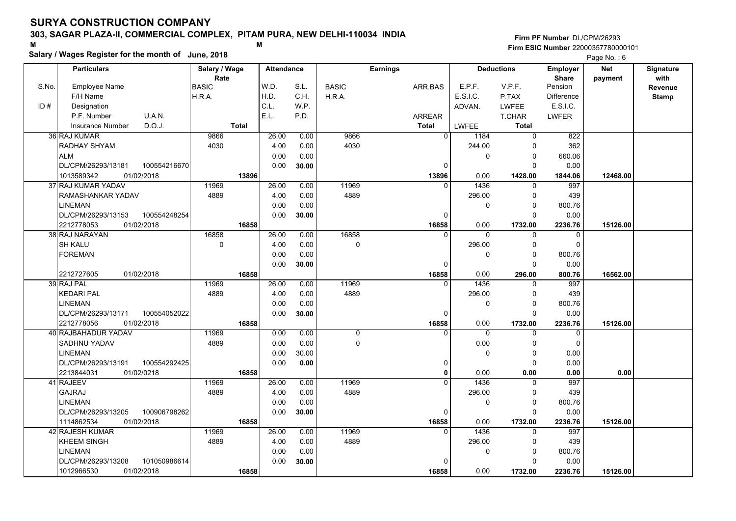### **303, SAGAR PLAZA-II, COMMERCIAL COMPLEX, PITAM PURA, NEW DELHI-110034 INDIA**

**Salary / Wages Register for the month of June, 2018 <sup>M</sup> <sup>M</sup>**

#### **Firm PF Number**DL/CPM/26293**Firm ESIC Number** 22000357780000101

|       | <b>Particulars</b>                 | Salary / Wage        | <b>Attendance</b> |       |              | <b>Earnings</b> |          | <b>Deductions</b> | Employer                | <b>Net</b> | Signature       |
|-------|------------------------------------|----------------------|-------------------|-------|--------------|-----------------|----------|-------------------|-------------------------|------------|-----------------|
| S.No. | <b>Employee Name</b>               | Rate<br><b>BASIC</b> | W.D.              | S.L.  | <b>BASIC</b> | ARR.BAS         | E.P.F.   | V.P.F.            | <b>Share</b><br>Pension | payment    | with<br>Revenue |
|       | F/H Name                           | H.R.A.               | H.D.              | C.H.  | H.R.A.       |                 | E.S.I.C. | P.TAX             | Difference              |            | <b>Stamp</b>    |
| ID#   | Designation                        |                      | C.L.              | W.P.  |              |                 | ADVAN.   | LWFEE             | E.S.I.C.                |            |                 |
|       | U.A.N.<br>P.F. Number              |                      | E.L.              | P.D.  |              | <b>ARREAR</b>   |          | T.CHAR            | <b>LWFER</b>            |            |                 |
|       | D.O.J.<br><b>Insurance Number</b>  | <b>Total</b>         |                   |       |              | <b>Total</b>    | LWFEE    | <b>Total</b>      |                         |            |                 |
|       | 36 RAJ KUMAR                       | 9866                 | 26.00             | 0.00  | 9866         | $\Omega$        | 1184     | $\Omega$          | 822                     |            |                 |
|       | RADHAY SHYAM                       | 4030                 | 4.00              | 0.00  | 4030         |                 | 244.00   | O                 | 362                     |            |                 |
|       | <b>ALM</b>                         |                      | 0.00              | 0.00  |              |                 | 0        | $\mathbf{0}$      | 660.06                  |            |                 |
|       | DL/CPM/26293/13181<br>100554216670 |                      | 0.00              | 30.00 |              | $\Omega$        |          | O                 | 0.00                    |            |                 |
|       | 1013589342<br>01/02/2018           | 13896                |                   |       |              | 13896           | 0.00     | 1428.00           | 1844.06                 | 12468.00   |                 |
|       | 37 RAJ KUMAR YADAV                 | 11969                | 26.00             | 0.00  | 11969        | $\Omega$        | 1436     | $\Omega$          | 997                     |            |                 |
|       | RAMASHANKAR YADAV                  | 4889                 | 4.00              | 0.00  | 4889         |                 | 296.00   | $\Omega$          | 439                     |            |                 |
|       | <b>LINEMAN</b>                     |                      | 0.00              | 0.00  |              |                 | 0        | $\Omega$          | 800.76                  |            |                 |
|       | DL/CPM/26293/13153<br>100554248254 |                      | 0.00              | 30.00 |              | 0               |          | $\Omega$          | 0.00                    |            |                 |
|       | 2212778053<br>01/02/2018           | 16858                |                   |       |              | 16858           | 0.00     | 1732.00           | 2236.76                 | 15126.00   |                 |
|       | 38 RAJ NARAYAN                     | 16858                | 26.00             | 0.00  | 16858        | $\Omega$        | $\Omega$ | $\Omega$          | 0                       |            |                 |
|       | <b>SH KALU</b>                     | $\mathbf 0$          | 4.00              | 0.00  | $\mathbf 0$  |                 | 296.00   | $\Omega$          | $\Omega$                |            |                 |
|       | <b>FOREMAN</b>                     |                      | 0.00              | 0.00  |              |                 | 0        | $\Omega$          | 800.76                  |            |                 |
|       |                                    |                      | 0.00              | 30.00 |              | $\Omega$        |          | $\Omega$          | 0.00                    |            |                 |
|       | 01/02/2018<br>2212727605           | 16858                |                   |       |              | 16858           | 0.00     | 296.00            | 800.76                  | 16562.00   |                 |
|       | 39 RAJ PAL                         | 11969                | 26.00             | 0.00  | 11969        | $\Omega$        | 1436     | $\Omega$          | 997                     |            |                 |
|       | <b>KEDARI PAL</b>                  | 4889                 | 4.00              | 0.00  | 4889         |                 | 296.00   | $\Omega$          | 439                     |            |                 |
|       | <b>LINEMAN</b>                     |                      | 0.00              | 0.00  |              |                 | 0        | $\Omega$          | 800.76                  |            |                 |
|       | DL/CPM/26293/13171<br>100554052022 |                      | 0.00              | 30.00 |              | $\Omega$        |          | $\Omega$          | 0.00                    |            |                 |
|       | 2212778056<br>01/02/2018           | 16858                |                   |       |              | 16858           | 0.00     | 1732.00           | 2236.76                 | 15126.00   |                 |
|       | 40 RAJBAHADUR YADAV                | 11969                | 0.00              | 0.00  | $\mathbf 0$  | $\Omega$        | $\Omega$ |                   | 0                       |            |                 |
|       | <b>SADHNU YADAV</b>                | 4889                 | 0.00              | 0.00  | $\Omega$     |                 | 0.00     | $\Omega$          | $\mathbf 0$             |            |                 |
|       | <b>LINEMAN</b>                     |                      | 0.00              | 30.00 |              |                 | 0        | $\Omega$          | 0.00                    |            |                 |
|       | DL/CPM/26293/13191<br>100554292425 |                      | 0.00              | 0.00  |              | 0               |          | $\Omega$          | 0.00                    |            |                 |
|       | 2213844031<br>01/02/0218           | 16858                |                   |       |              | $\Omega$        | 0.00     | 0.00              | 0.00                    | 0.00       |                 |
|       | 41 RAJEEV                          | 11969                | 26.00             | 0.00  | 11969        |                 | 1436     | $\Omega$          | 997                     |            |                 |
|       | <b>GAJRAJ</b>                      | 4889                 | 4.00              | 0.00  | 4889         |                 | 296.00   | 0                 | 439                     |            |                 |
|       | <b>LINEMAN</b>                     |                      | 0.00              | 0.00  |              |                 | 0        | $\Omega$          | 800.76                  |            |                 |
|       | DL/CPM/26293/13205<br>100906798262 |                      | 0.00              | 30.00 |              | 0               |          | $\Omega$          | 0.00                    |            |                 |
|       | 1114862534<br>01/02/2018           | 16858                |                   |       |              | 16858           | 0.00     | 1732.00           | 2236.76                 | 15126.00   |                 |
|       | 42 RAJESH KUMAR                    | 11969                | 26.00             | 0.00  | 11969        | $\Omega$        | 1436     | $\Omega$          | 997                     |            |                 |
|       | <b>KHEEM SINGH</b>                 | 4889                 | 4.00              | 0.00  | 4889         |                 | 296.00   | $\Omega$          | 439                     |            |                 |
|       | <b>LINEMAN</b>                     |                      | 0.00              | 0.00  |              |                 | 0        | $\Omega$          | 800.76                  |            |                 |
|       | DL/CPM/26293/13208<br>101050986614 |                      | 0.00              | 30.00 |              | <sup>0</sup>    |          | O                 | 0.00                    |            |                 |
|       | 01/02/2018<br>1012966530           | 16858                |                   |       |              | 16858           | 0.00     | 1732.00           | 2236.76                 | 15126.00   |                 |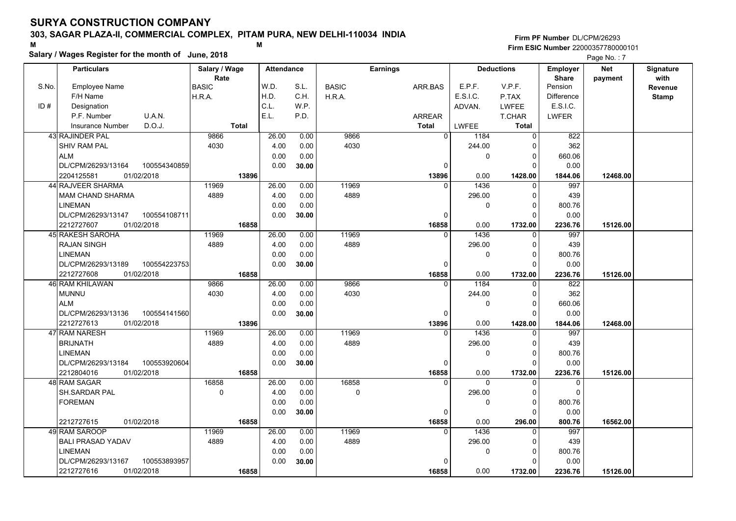### **303, SAGAR PLAZA-II, COMMERCIAL COMPLEX, PITAM PURA, NEW DELHI-110034 INDIA**

**Salary / Wages Register for the month of June, 2018 <sup>M</sup> <sup>M</sup>**

#### **Firm PF Number**DL/CPM/26293**Firm ESIC Number** 22000357780000101

|       | <b>Particulars</b>                                             | Salary / Wage        | <b>Attendance</b> |              |              | <b>Earnings</b>       |                    | <b>Deductions</b>   | <b>Employer</b>         | Net      | Signature    |
|-------|----------------------------------------------------------------|----------------------|-------------------|--------------|--------------|-----------------------|--------------------|---------------------|-------------------------|----------|--------------|
| S.No. | Employee Name                                                  | Rate<br><b>BASIC</b> | W.D.              | S.L.         | <b>BASIC</b> | ARR.BAS               | E.P.F.             | V.P.F.              | <b>Share</b><br>Pension | payment  | with         |
|       | F/H Name                                                       | H.R.A.               | H.D.              | C.H.         | H.R.A.       |                       | E.S.I.C.           | P.TAX               | <b>Difference</b>       |          | Revenue      |
| ID#   | Designation                                                    |                      | C.L.              | W.P.         |              |                       | ADVAN.             | LWFEE               | E.S.I.C.                |          | <b>Stamp</b> |
|       | U.A.N.<br>P.F. Number                                          |                      | E.L.              | P.D.         |              | <b>ARREAR</b>         |                    | T.CHAR              | LWFER                   |          |              |
|       | D.O.J.<br><b>Insurance Number</b>                              | <b>Total</b>         |                   |              |              | <b>Total</b>          | LWFEE              | <b>Total</b>        |                         |          |              |
|       | 43 RAJINDER PAL                                                | 9866                 | 26.00             | 0.00         | 9866         | $\Omega$              | 1184               | $\Omega$            | 822                     |          |              |
|       | <b>SHIV RAM PAL</b>                                            | 4030                 | 4.00              | 0.00         | 4030         |                       | 244.00             | $\Omega$            | 362                     |          |              |
|       | <b>ALM</b>                                                     |                      | 0.00              | 0.00         |              |                       | $\mathbf 0$        | 0                   | 660.06                  |          |              |
|       | DL/CPM/26293/13164<br>100554340859                             |                      | 0.00              |              |              | 0                     |                    | $\Omega$            | 0.00                    |          |              |
|       |                                                                | 13896                |                   | 30.00        |              |                       |                    |                     |                         |          |              |
|       | 2204125581<br>01/02/2018<br>44 RAJVEER SHARMA                  | 11969                | 26.00             | 0.00         | 11969        | 13896<br>$\Omega$     | 0.00<br>1436       | 1428.00<br>$\Omega$ | 1844.06<br>997          | 12468.00 |              |
|       |                                                                | 4889                 | 4.00              | 0.00         | 4889         |                       | 296.00             | 0                   | 439                     |          |              |
|       | MAM CHAND SHARMA<br><b>LINEMAN</b>                             |                      |                   |              |              |                       |                    | $\Omega$            |                         |          |              |
|       | DL/CPM/26293/13147                                             |                      | 0.00              | 0.00         |              |                       | 0                  | $\Omega$            | 800.76                  |          |              |
|       | 100554108711                                                   |                      | 0.00              | 30.00        |              | 0                     |                    |                     | 0.00                    |          |              |
|       | 2212727607<br>01/02/2018<br>45 RAKESH SAROHA                   | 16858<br>11969       | 26.00             | 0.00         | 11969        | 16858<br>$\mathbf{0}$ | 0.00<br>1436       | 1732.00<br>0        | 2236.76<br>997          | 15126.00 |              |
|       | <b>RAJAN SINGH</b>                                             | 4889                 |                   |              | 4889         |                       |                    | $\Omega$            |                         |          |              |
|       | <b>LINEMAN</b>                                                 |                      | 4.00<br>0.00      | 0.00<br>0.00 |              |                       | 296.00<br>$\Omega$ | $\Omega$            | 439<br>800.76           |          |              |
|       | DL/CPM/26293/13189                                             |                      | 0.00              |              |              |                       |                    | $\Omega$            |                         |          |              |
|       | 100554223753                                                   | 16858                |                   | 30.00        |              | $\Omega$<br>16858     |                    |                     | 0.00                    | 15126.00 |              |
|       | 2212727608<br>01/02/2018<br>46 RAM KHILAWAN                    | 9866                 | 26.00             | 0.00         | 9866         | $\Omega$              | 0.00<br>1184       | 1732.00<br>$\Omega$ | 2236.76<br>822          |          |              |
|       | <b>MUNNU</b>                                                   | 4030                 | 4.00              | 0.00         | 4030         |                       | 244.00             | $\Omega$            | 362                     |          |              |
|       | <b>ALM</b>                                                     |                      | 0.00              | 0.00         |              |                       | 0                  | 0                   | 660.06                  |          |              |
|       |                                                                |                      | 0.00              |              |              | 0                     |                    | $\Omega$            | 0.00                    |          |              |
|       | DL/CPM/26293/13136<br>100554141560<br>2212727613<br>01/02/2018 | 13896                |                   | 30.00        |              |                       | 0.00               |                     |                         |          |              |
|       | 47 RAM NARESH                                                  | 11969                | 26.00             | 0.00         | 11969        | 13896<br>$\Omega$     | 1436               | 1428.00<br>$\Omega$ | 1844.06<br>997          | 12468.00 |              |
|       | <b>BRIJNATH</b>                                                | 4889                 | 4.00              | 0.00         | 4889         |                       | 296.00             | $\Omega$            | 439                     |          |              |
|       | LINEMAN                                                        |                      | 0.00              | 0.00         |              |                       | 0                  | $\mathbf 0$         | 800.76                  |          |              |
|       | DL/CPM/26293/13184<br>100553920604                             |                      | 0.00              | 30.00        |              | 0                     |                    | $\Omega$            | 0.00                    |          |              |
|       | 01/02/2018<br>2212804016                                       | 16858                |                   |              |              | 16858                 | 0.00               | 1732.00             | 2236.76                 | 15126.00 |              |
|       | 48 RAM SAGAR                                                   | 16858                | 26.00             | 0.00         | 16858        | n                     | $\Omega$           | <sup>0</sup>        | 0                       |          |              |
|       | SH.SARDAR PAL                                                  | $\mathbf 0$          | 4.00              | 0.00         | $\pmb{0}$    |                       | 296.00             | $\Omega$            | $\Omega$                |          |              |
|       | <b>FOREMAN</b>                                                 |                      | 0.00              | 0.00         |              |                       | $\Omega$           | $\Omega$            | 800.76                  |          |              |
|       |                                                                |                      | 0.00              | 30.00        |              | 0                     |                    | $\Omega$            | 0.00                    |          |              |
|       | 01/02/2018<br>2212727615                                       | 16858                |                   |              |              | 16858                 | 0.00               | 296.00              | 800.76                  | 16562.00 |              |
|       | 49 RAM SAROOP                                                  | 11969                | 26.00             | 0.00         | 11969        | $\Omega$              | 1436               | 0                   | 997                     |          |              |
|       | <b>BALI PRASAD YADAV</b>                                       | 4889                 | 4.00              | 0.00         | 4889         |                       | 296.00             | 0                   | 439                     |          |              |
|       | <b>LINEMAN</b>                                                 |                      | 0.00              | 0.00         |              |                       | 0                  | 0                   | 800.76                  |          |              |
|       | DL/CPM/26293/13167<br>100553893957                             |                      | 0.00              | 30.00        |              | $\Omega$              |                    | $\Omega$            | 0.00                    |          |              |
|       | 2212727616<br>01/02/2018                                       | 16858                |                   |              |              | 16858                 | 0.00               | 1732.00             | 2236.76                 | 15126.00 |              |
|       |                                                                |                      |                   |              |              |                       |                    |                     |                         |          |              |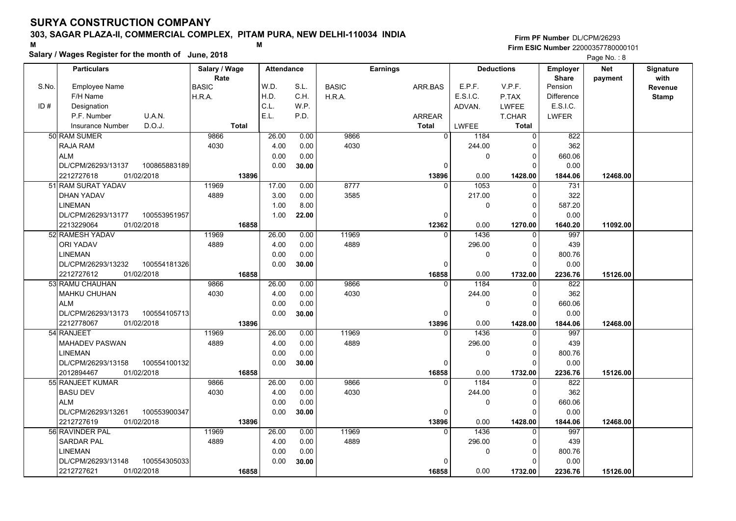### **303, SAGAR PLAZA-II, COMMERCIAL COMPLEX, PITAM PURA, NEW DELHI-110034 INDIA**

**Salary / Wages Register for the month of June, 2018 <sup>M</sup> <sup>M</sup>**

#### **Firm PF Number**DL/CPM/26293**Firm ESIC Number** 22000357780000101

|       | <b>Particulars</b>                 | Salary / Wage        | <b>Attendance</b> |       |              | <b>Earnings</b> |          | <b>Deductions</b> | Employer                | <b>Net</b> | Signature       |
|-------|------------------------------------|----------------------|-------------------|-------|--------------|-----------------|----------|-------------------|-------------------------|------------|-----------------|
| S.No. | <b>Employee Name</b>               | Rate<br><b>BASIC</b> | W.D.              | S.L.  | <b>BASIC</b> | ARR.BAS         | E.P.F.   | V.P.F.            | <b>Share</b><br>Pension | payment    | with<br>Revenue |
|       | F/H Name                           | H.R.A.               | H.D.              | C.H.  | H.R.A.       |                 | E.S.I.C. | P.TAX             | Difference              |            | <b>Stamp</b>    |
| ID#   | Designation                        |                      | C.L.              | W.P.  |              |                 | ADVAN.   | <b>LWFEE</b>      | E.S.I.C.                |            |                 |
|       | U.A.N.<br>P.F. Number              |                      | E.L.              | P.D.  |              | <b>ARREAR</b>   |          | T.CHAR            | <b>LWFER</b>            |            |                 |
|       | D.O.J.<br><b>Insurance Number</b>  | <b>Total</b>         |                   |       |              | <b>Total</b>    | LWFEE    | <b>Total</b>      |                         |            |                 |
|       | 50 RAM SUMER                       | 9866                 | 26.00             | 0.00  | 9866         | $\Omega$        | 1184     | $\Omega$          | 822                     |            |                 |
|       | RAJA RAM                           | 4030                 | 4.00              | 0.00  | 4030         |                 | 244.00   | 0                 | 362                     |            |                 |
|       | <b>ALM</b>                         |                      | 0.00              | 0.00  |              |                 | 0        | $\Omega$          | 660.06                  |            |                 |
|       | DL/CPM/26293/13137<br>100865883189 |                      | 0.00              | 30.00 |              | $\mathbf 0$     |          | $\Omega$          | 0.00                    |            |                 |
|       | 2212727618<br>01/02/2018           | 13896                |                   |       |              | 13896           | 0.00     | 1428.00           | 1844.06                 | 12468.00   |                 |
|       | 51 RAM SURAT YADAV                 | 11969                | 17.00             | 0.00  | 8777         | $\Omega$        | 1053     | $\Omega$          | 731                     |            |                 |
|       | DHAN YADAV                         | 4889                 | 3.00              | 0.00  | 3585         |                 | 217.00   | $\Omega$          | 322                     |            |                 |
|       | <b>LINEMAN</b>                     |                      | 1.00              | 8.00  |              |                 | 0        | 0                 | 587.20                  |            |                 |
|       | DL/CPM/26293/13177<br>100553951957 |                      | 1.00              | 22.00 |              | $\Omega$        |          | $\Omega$          | 0.00                    |            |                 |
|       | 2213229064<br>01/02/2018           | 16858                |                   |       |              | 12362           | 0.00     | 1270.00           | 1640.20                 | 11092.00   |                 |
|       | 52 RAMESH YADAV                    | 11969                | 26.00             | 0.00  | 11969        | $\Omega$        | 1436     | $\Omega$          | 997                     |            |                 |
|       | <b>ORI YADAV</b>                   | 4889                 | 4.00              | 0.00  | 4889         |                 | 296.00   | $\Omega$          | 439                     |            |                 |
|       | <b>LINEMAN</b>                     |                      | 0.00              | 0.00  |              |                 | 0        | $\Omega$          | 800.76                  |            |                 |
|       | DL/CPM/26293/13232<br>100554181326 |                      | 0.00              | 30.00 |              | $\Omega$        |          | $\Omega$          | 0.00                    |            |                 |
|       | 2212727612<br>01/02/2018           | 16858                |                   |       |              | 16858           | 0.00     | 1732.00           | 2236.76                 | 15126.00   |                 |
|       | 53 RAMU CHAUHAN                    | 9866                 | 26.00             | 0.00  | 9866         | $\Omega$        | 1184     | $\Omega$          | 822                     |            |                 |
|       | MAHKU CHUHAN                       | 4030                 | 4.00              | 0.00  | 4030         |                 | 244.00   | $\Omega$          | 362                     |            |                 |
|       | <b>ALM</b>                         |                      | 0.00              | 0.00  |              |                 | 0        | $\Omega$          | 660.06                  |            |                 |
|       | 100554105713<br>DL/CPM/26293/13173 |                      | 0.00              | 30.00 |              | $\Omega$        |          | O                 | 0.00                    |            |                 |
|       | 2212778067<br>01/02/2018           | 13896                |                   |       |              | 13896           | 0.00     | 1428.00           | 1844.06                 | 12468.00   |                 |
|       | 54 RANJEET                         | 11969                | 26.00             | 0.00  | 11969        | $\Omega$        | 1436     |                   | 997                     |            |                 |
|       | <b>MAHADEV PASWAN</b>              | 4889                 | 4.00              | 0.00  | 4889         |                 | 296.00   | $\Omega$          | 439                     |            |                 |
|       | <b>LINEMAN</b>                     |                      | 0.00              | 0.00  |              |                 | 0        | 0                 | 800.76                  |            |                 |
|       | DL/CPM/26293/13158<br>100554100132 |                      | 0.00              | 30.00 |              | 0               |          | $\Omega$          | 0.00                    |            |                 |
|       | 01/02/2018<br>2012894467           | 16858                |                   |       |              | 16858           | 0.00     | 1732.00           | 2236.76                 | 15126.00   |                 |
|       | 55 RANJEET KUMAR                   | 9866                 | 26.00             | 0.00  | 9866         | $\Omega$        | 1184     | $\Omega$          | 822                     |            |                 |
|       | <b>BASU DEV</b>                    | 4030                 | 4.00              | 0.00  | 4030         |                 | 244.00   | $\Omega$          | 362                     |            |                 |
|       | <b>ALM</b>                         |                      | 0.00              | 0.00  |              |                 | 0        | $\mathbf{0}$      | 660.06                  |            |                 |
|       | 100553900347<br>DL/CPM/26293/13261 |                      | 0.00              | 30.00 |              | 0               |          | $\Omega$          | 0.00                    |            |                 |
|       | 2212727619<br>01/02/2018           | 13896                |                   |       |              | 13896           | 0.00     | 1428.00           | 1844.06                 | 12468.00   |                 |
|       | 56 RAVINDER PAL                    | 11969                | 26.00             | 0.00  | 11969        | $\Omega$        | 1436     | $\Omega$          | 997                     |            |                 |
|       | <b>SARDAR PAL</b>                  | 4889                 | 4.00              | 0.00  | 4889         |                 | 296.00   | $\Omega$          | 439                     |            |                 |
|       | <b>LINEMAN</b>                     |                      | 0.00              | 0.00  |              |                 | 0        | $\Omega$          | 800.76                  |            |                 |
|       | DL/CPM/26293/13148<br>100554305033 |                      | 0.00              | 30.00 |              | $\Omega$        |          | $\Omega$          | 0.00                    |            |                 |
|       | 2212727621<br>01/02/2018           | 16858                |                   |       |              | 16858           | 0.00     | 1732.00           | 2236.76                 | 15126.00   |                 |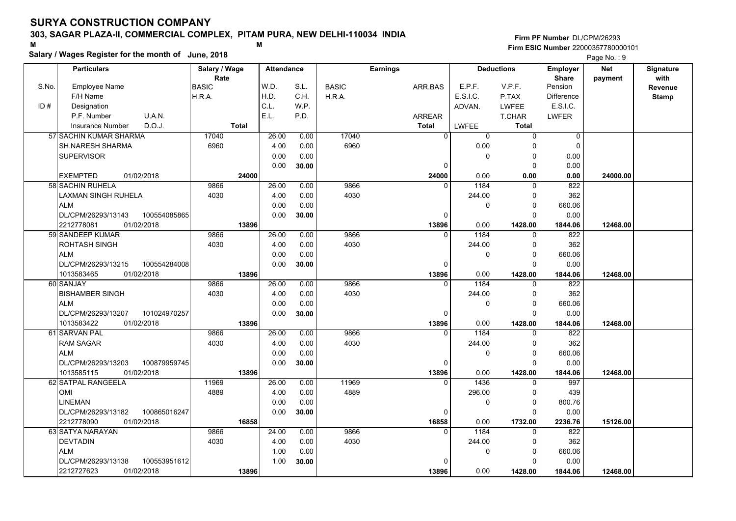### **303, SAGAR PLAZA-II, COMMERCIAL COMPLEX, PITAM PURA, NEW DELHI-110034 INDIA**

**Salary / Wages Register for the month of June, 2018 <sup>M</sup> <sup>M</sup>**

#### **Firm PF Number**DL/CPM/26293**Firm ESIC Number** 22000357780000101

|       | <b>Particulars</b>                               | Salary / Wage        | <b>Attendance</b> |               |              | <b>Earnings</b>   |                | <b>Deductions</b>       | Employer                | <b>Net</b> | Signature       |
|-------|--------------------------------------------------|----------------------|-------------------|---------------|--------------|-------------------|----------------|-------------------------|-------------------------|------------|-----------------|
| S.No. | <b>Employee Name</b>                             | Rate<br><b>BASIC</b> | W.D.              | S.L.          | <b>BASIC</b> | ARR.BAS           | E.P.F.         | V.P.F.                  | <b>Share</b><br>Pension | payment    | with<br>Revenue |
|       | F/H Name                                         | H.R.A.               | H.D.              | C.H.          | H.R.A.       |                   | E.S.I.C.       | P.TAX                   | <b>Difference</b>       |            | <b>Stamp</b>    |
| ID#   | Designation                                      |                      | C.L.              | W.P.          |              |                   | ADVAN.         | LWFEE                   | E.S.I.C.                |            |                 |
|       | U.A.N.<br>P.F. Number                            |                      | E.L.              | P.D.          |              | <b>ARREAR</b>     |                | T.CHAR                  | <b>LWFER</b>            |            |                 |
|       | D.O.J.<br><b>Insurance Number</b>                | <b>Total</b>         |                   |               |              | <b>Total</b>      | LWFEE          | <b>Total</b>            |                         |            |                 |
|       | 57 SACHIN KUMAR SHARMA                           | 17040                | 26.00             | 0.00          | 17040        | $\Omega$          | 0              | $\mathbf 0$             | 0                       |            |                 |
|       | <b>SH.NARESH SHARMA</b>                          | 6960                 | 4.00              | 0.00          | 6960         |                   | 0.00           | $\Omega$                | $\mathbf 0$             |            |                 |
|       | <b>SUPERVISOR</b>                                |                      | 0.00              | 0.00          |              |                   | 0              | 0                       | 0.00                    |            |                 |
|       |                                                  |                      | 0.00              | 30.00         |              | 0                 |                | $\Omega$                | 0.00                    |            |                 |
|       | <b>EXEMPTED</b><br>01/02/2018                    | 24000                |                   |               |              | 24000             | 0.00           | 0.00                    | 0.00                    | 24000.00   |                 |
|       | 58 SACHIN RUHELA                                 | 9866                 | 26.00             | 0.00          | 9866         | $\Omega$          | 1184           | $\mathbf 0$             | 822                     |            |                 |
|       | LAXMAN SINGH RUHELA                              | 4030                 | 4.00              | 0.00          | 4030         |                   | 244.00         | $\mathbf 0$             | 362                     |            |                 |
|       | <b>ALM</b>                                       |                      | 0.00              | 0.00          |              |                   | 0              | $\mathbf 0$             | 660.06                  |            |                 |
|       | DL/CPM/26293/13143<br>100554085865               |                      | 0.00              | 30.00         |              | 0                 |                | $\mathbf 0$             | 0.00                    |            |                 |
|       | 2212778081<br>01/02/2018                         | 13896                |                   |               |              | 13896             | 0.00           | 1428.00                 | 1844.06                 | 12468.00   |                 |
|       | 59 SANDEEP KUMAR                                 | 9866                 | 26.00             | 0.00          | 9866         | $\Omega$          | 1184           | $\mathbf 0$             | 822                     |            |                 |
|       | <b>ROHTASH SINGH</b>                             | 4030                 | 4.00              | 0.00          | 4030         |                   | 244.00         | $\mathbf 0$             | 362                     |            |                 |
|       | <b>ALM</b>                                       |                      | 0.00              | 0.00          |              |                   | 0              | $\mathbf 0$             | 660.06                  |            |                 |
|       | DL/CPM/26293/13215<br>100554284008               |                      | 0.00              | 30.00         |              | $\Omega$          |                | $\Omega$                | 0.00                    |            |                 |
|       | 01/02/2018<br>1013583465                         | 13896                |                   |               |              | 13896             | 0.00           | 1428.00                 | 1844.06                 | 12468.00   |                 |
|       | 60 SANJAY                                        | 9866                 | 26.00             | 0.00          | 9866         |                   | 1184           | 0                       | 822                     |            |                 |
|       | <b>BISHAMBER SINGH</b>                           | 4030                 | 4.00              | 0.00          | 4030         |                   | 244.00         | $\mathbf 0$             | 362                     |            |                 |
|       | <b>ALM</b>                                       |                      | 0.00              | 0.00          |              |                   | 0              | $\Omega$                | 660.06                  |            |                 |
|       | 101024970257<br>DL/CPM/26293/13207               |                      | 0.00              | 30.00         |              | $\Omega$          |                | $\Omega$                | 0.00                    |            |                 |
|       | 1013583422<br>01/02/2018                         | 13896                |                   |               |              | 13896             | 0.00           | 1428.00                 | 1844.06                 | 12468.00   |                 |
|       | 61 SARVAN PAL                                    | 9866                 | 26.00             | 0.00          | 9866         | $\Omega$          | 1184           | 0                       | 822                     |            |                 |
|       | <b>RAM SAGAR</b>                                 | 4030                 | 4.00              | 0.00          | 4030         |                   | 244.00         | 0                       | 362                     |            |                 |
|       | <b>ALM</b>                                       |                      | 0.00              | 0.00          |              |                   | 0              | $\mathbf 0$             | 660.06                  |            |                 |
|       | 100879959745<br>DL/CPM/26293/13203               |                      | 0.00              | 30.00         |              | 0                 |                | $\Omega$                | 0.00                    |            |                 |
|       | 01/02/2018<br>1013585115                         | 13896                |                   |               |              | 13896             | 0.00           | 1428.00                 | 1844.06                 | 12468.00   |                 |
|       | 62 SATPAL RANGEELA                               | 11969                | 26.00             | 0.00          | 11969        | $\Omega$          | 1436           | $\mathbf 0$             | 997                     |            |                 |
|       | <b>OMI</b>                                       | 4889                 | 4.00              | 0.00          | 4889         |                   | 296.00         | 0                       | 439                     |            |                 |
|       | <b>LINEMAN</b>                                   |                      | 0.00              | 0.00          |              |                   | 0              | 0                       | 800.76                  |            |                 |
|       | DL/CPM/26293/13182<br>100865016247               |                      | 0.00              | 30.00         |              | 0                 |                | $\Omega$                | 0.00                    |            |                 |
|       | 2212778090<br>01/02/2018                         | 16858                |                   |               | 9866         | 16858<br>$\Omega$ | 0.00           | 1732.00                 | 2236.76                 | 15126.00   |                 |
|       | 63 SATYA NARAYAN                                 | 9866<br>4030         | 24.00<br>4.00     | 0.00          | 4030         |                   | 1184<br>244.00 | 0                       | 822<br>362              |            |                 |
|       | <b>DEVTADIN</b>                                  |                      |                   | 0.00          |              |                   |                | 0                       |                         |            |                 |
|       | <b>ALM</b><br>DL/CPM/26293/13138<br>100553951612 |                      | 1.00<br>1.00      | 0.00<br>30.00 |              | <sup>0</sup>      | 0              | $\mathbf 0$<br>$\Omega$ | 660.06<br>0.00          |            |                 |
|       | 01/02/2018<br>2212727623                         | 13896                |                   |               |              |                   | 0.00           | 1428.00                 |                         | 12468.00   |                 |
|       |                                                  |                      |                   |               |              | 13896             |                |                         | 1844.06                 |            |                 |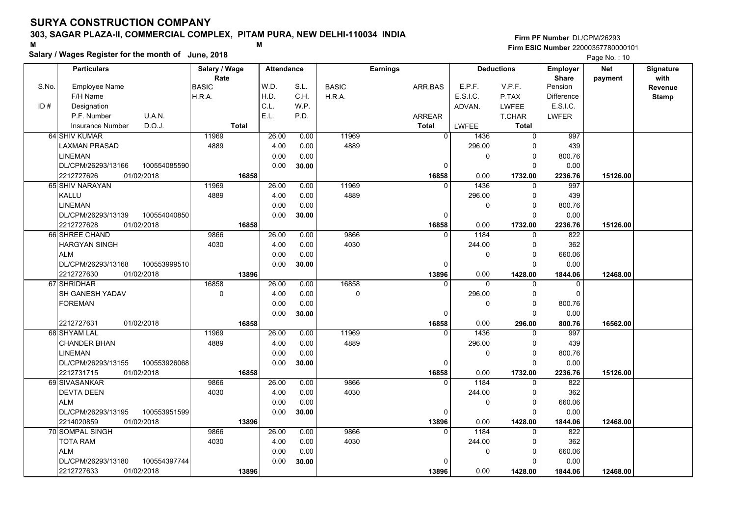### **303, SAGAR PLAZA-II, COMMERCIAL COMPLEX, PITAM PURA, NEW DELHI-110034 INDIA**

**Salary / Wages Register for the month of June, 2018 <sup>M</sup> <sup>M</sup>**

#### **Firm PF Number**DL/CPM/26293**Firm ESIC Number** 22000357780000101

|       | <b>Particulars</b>                 | Salary / Wage<br>Rate |       | <b>Attendance</b> |              | <b>Earnings</b> |              | <b>Deductions</b> | Employer<br><b>Share</b> | <b>Net</b> | Signature<br>with |
|-------|------------------------------------|-----------------------|-------|-------------------|--------------|-----------------|--------------|-------------------|--------------------------|------------|-------------------|
| S.No. | Employee Name                      | <b>BASIC</b>          | W.D.  | S.L.              | <b>BASIC</b> | ARR BAS         | E.P.F.       | V.P.F.            | Pension                  | payment    | <b>Revenue</b>    |
|       | F/H Name                           | H.R.A.                | H.D.  | C.H.              | H.R.A.       |                 | E.S.I.C.     | P.TAX             | <b>Difference</b>        |            | <b>Stamp</b>      |
| ID#   | Designation                        |                       | C.L.  | W.P.              |              |                 | ADVAN.       | <b>LWFEE</b>      | E.S.I.C.                 |            |                   |
|       | U.A.N.<br>P.F. Number              |                       | E.L.  | P.D.              |              | <b>ARREAR</b>   |              | T.CHAR            | <b>LWFER</b>             |            |                   |
|       | D.O.J.<br><b>Insurance Number</b>  | <b>Total</b>          |       |                   |              | Total           | LWFEE        | Total             |                          |            |                   |
|       | 64 SHIV KUMAR                      | 11969                 |       | 26.00<br>0.00     | 11969        | $\Omega$        | 1436         | $\mathsf 0$       | 997                      |            |                   |
|       | <b>LAXMAN PRASAD</b>               | 4889                  |       | 4.00<br>0.00      | 4889         |                 | 296.00       | 0                 | 439                      |            |                   |
|       | <b>LINEMAN</b>                     |                       |       | 0.00<br>0.00      |              |                 | $\mathbf 0$  | $\mathbf 0$       | 800.76                   |            |                   |
|       | DL/CPM/26293/13166<br>100554085590 |                       |       | 0.00<br>30.00     |              | 0               |              | $\Omega$          | 0.00                     |            |                   |
|       | 2212727626<br>01/02/2018           |                       | 16858 |                   |              | 16858           | 0.00         | 1732.00           | 2236.76                  | 15126.00   |                   |
|       | 65 SHIV NARAYAN                    | 11969                 |       | 26.00<br>0.00     | 11969        | <sup>0</sup>    | 1436         | 0                 | 997                      |            |                   |
|       | KALLU                              | 4889                  |       | 4.00<br>0.00      | 4889         |                 | 296.00       | $\mathbf 0$       | 439                      |            |                   |
|       | <b>LINEMAN</b>                     |                       |       | 0.00<br>0.00      |              |                 | 0            | $\mathbf 0$       | 800.76                   |            |                   |
|       | DL/CPM/26293/13139<br>100554040850 |                       |       | 0.00<br>30.00     |              | 0               |              | $\mathbf 0$       | 0.00                     |            |                   |
|       | 01/02/2018<br>2212727628           |                       | 16858 |                   |              | 16858           | 0.00         | 1732.00           | 2236.76                  | 15126.00   |                   |
|       | 66 SHREE CHAND                     | 9866                  |       | 26.00<br>0.00     | 9866         | $\Omega$        | 1184         | $\mathbf 0$       | 822                      |            |                   |
|       | <b>HARGYAN SINGH</b>               | 4030                  |       | 4.00<br>0.00      | 4030         |                 | 244.00       | $\mathbf 0$       | 362                      |            |                   |
|       | <b>ALM</b>                         |                       |       | 0.00<br>0.00      |              |                 | $\mathbf{0}$ | $\mathbf 0$       | 660.06                   |            |                   |
|       | DL/CPM/26293/13168<br>100553999510 |                       |       | 0.00<br>30.00     |              | 0               |              | $\Omega$          | 0.00                     |            |                   |
|       | 2212727630<br>01/02/2018           |                       | 13896 |                   |              | 13896           | 0.00         | 1428.00           | 1844.06                  | 12468.00   |                   |
|       | 67 SHRIDHAR                        | 16858                 |       | 26.00<br>0.00     | 16858        | $\Omega$        | $\Omega$     | 0                 | 0                        |            |                   |
|       | SH GANESH YADAV                    | $\mathbf 0$           |       | 4.00<br>0.00      | $\mathbf 0$  |                 | 296.00       | $\mathbf 0$       | 0                        |            |                   |
|       | <b>FOREMAN</b>                     |                       |       | 0.00<br>0.00      |              |                 | $\Omega$     | $\pmb{0}$         | 800.76                   |            |                   |
|       |                                    |                       |       | 0.00<br>30.00     |              | $\Omega$        |              | $\Omega$          | 0.00                     |            |                   |
|       | 2212727631<br>01/02/2018           |                       | 16858 |                   |              | 16858           | 0.00         | 296.00            | 800.76                   | 16562.00   |                   |
|       | 68 SHYAM LAL                       | 11969                 |       | 26.00<br>0.00     | 11969        | U               | 1436         | $\Omega$          | 997                      |            |                   |
|       | <b>CHANDER BHAN</b>                | 4889                  |       | 4.00<br>0.00      | 4889         |                 | 296.00       | 0                 | 439                      |            |                   |
|       | <b>LINEMAN</b>                     |                       |       | 0.00<br>0.00      |              |                 | $\mathbf 0$  | $\mathbf 0$       | 800.76                   |            |                   |
|       | DL/CPM/26293/13155<br>100553926068 |                       |       | 0.00<br>30.00     |              | 0               |              | $\mathbf 0$       | 0.00                     |            |                   |
|       | 01/02/2018<br>2212731715           |                       | 16858 |                   |              | 16858           | 0.00         | 1732.00           | 2236.76                  | 15126.00   |                   |
|       | 69 SIVASANKAR                      | 9866                  |       | 26.00<br>0.00     | 9866         | $\Omega$        | 1184         | 0                 | 822                      |            |                   |
|       | <b>DEVTA DEEN</b>                  | 4030                  |       | 4.00<br>0.00      | 4030         |                 | 244.00       | 0                 | 362                      |            |                   |
|       | <b>ALM</b>                         |                       |       | 0.00<br>0.00      |              |                 | $\mathbf 0$  | $\mathbf 0$       | 660.06                   |            |                   |
|       | 100553951599<br>DL/CPM/26293/13195 |                       |       | 0.00<br>30.00     |              | $\Omega$        |              | $\Omega$          | 0.00                     |            |                   |
|       | 2214020859<br>01/02/2018           |                       | 13896 |                   |              | 13896           | 0.00         | 1428.00           | 1844.06                  | 12468.00   |                   |
|       | 70 SOMPAL SINGH                    | 9866                  |       | 26.00<br>0.00     | 9866         | $\Omega$        | 1184         | $\Omega$          | 822                      |            |                   |
|       | <b>TOTA RAM</b>                    | 4030                  |       | 4.00<br>0.00      | 4030         |                 | 244.00       | 0                 | 362                      |            |                   |
|       | <b>ALM</b>                         |                       |       | 0.00<br>0.00      |              |                 | $\mathbf{0}$ | $\mathbf 0$       | 660.06                   |            |                   |
|       | DL/CPM/26293/13180<br>100554397744 |                       |       | 0.00<br>30.00     |              | 0               |              | $\Omega$          | 0.00                     |            |                   |
|       | 2212727633<br>01/02/2018           |                       | 13896 |                   |              | 13896           | 0.00         | 1428.00           | 1844.06                  | 12468.00   |                   |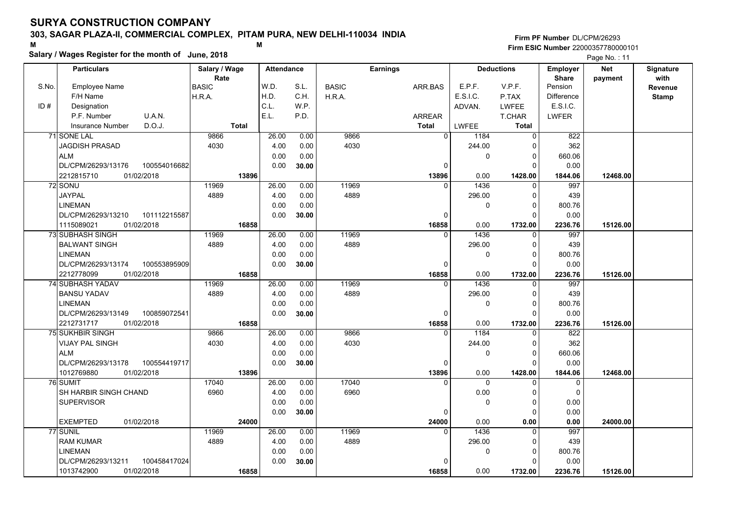### **303, SAGAR PLAZA-II, COMMERCIAL COMPLEX, PITAM PURA, NEW DELHI-110034 INDIA**

**Salary / Wages Register for the month of June, 2018 <sup>M</sup> <sup>M</sup>**

#### **Firm PF Number**DL/CPM/26293**Firm ESIC Number** 22000357780000101

|       | <b>Particulars</b>                 | Salary / Wage<br>Rate | <b>Attendance</b> |       |              | <b>Earnings</b> |                        | <b>Deductions</b> | <b>Employer</b><br><b>Share</b> | <b>Net</b> | Signature<br>with |
|-------|------------------------------------|-----------------------|-------------------|-------|--------------|-----------------|------------------------|-------------------|---------------------------------|------------|-------------------|
| S.No. | Employee Name                      | <b>BASIC</b>          | W.D.              | S.L.  | <b>BASIC</b> | ARR BAS         | E.P.F.                 | V.P.F.            | Pension                         | payment    | Revenue           |
|       | F/H Name                           | H.R.A.                | H.D.              | C.H.  | H.R.A.       |                 | E.S.I.C.               | P.TAX             | <b>Difference</b>               |            | <b>Stamp</b>      |
| ID#   | Designation                        |                       | C.L.              | W.P.  |              |                 | ADVAN.                 | <b>LWFEE</b>      | E.S.I.C.                        |            |                   |
|       | U.A.N.<br>P.F. Number              |                       | E.L.              | P.D.  |              | <b>ARREAR</b>   |                        | T.CHAR            | <b>LWFER</b>                    |            |                   |
|       | D.O.J.<br><b>Insurance Number</b>  | <b>Total</b>          |                   |       |              | <b>Total</b>    | LWFEE                  | <b>Total</b>      |                                 |            |                   |
|       | 71 SONE LAL                        | 9866                  | 26.00             | 0.00  | 9866         |                 | $\overline{0}$<br>1184 | $\mathbf 0$       | 822                             |            |                   |
|       | <b>JAGDISH PRASAD</b>              | 4030                  | 4.00              | 0.00  | 4030         |                 | 244.00                 | $\Omega$          | 362                             |            |                   |
|       | <b>ALM</b>                         |                       | 0.00              | 0.00  |              |                 | 0                      | $\mathbf 0$       | 660.06                          |            |                   |
|       | DL/CPM/26293/13176<br>100554016682 |                       | 0.00              | 30.00 |              | 0               |                        | $\Omega$          | 0.00                            |            |                   |
|       | 01/02/2018<br>2212815710           | 13896                 |                   |       |              | 13896           | 0.00                   | 1428.00           | 1844.06                         | 12468.00   |                   |
|       | 72 SONU                            | 11969                 | 26.00             | 0.00  | 11969        |                 | 1436<br>$\Omega$       | 0                 | 997                             |            |                   |
|       | JAYPAL                             | 4889                  | 4.00              | 0.00  | 4889         |                 | 296.00                 | 0                 | 439                             |            |                   |
|       | <b>LINEMAN</b>                     |                       | 0.00              | 0.00  |              |                 | 0                      | $\Omega$          | 800.76                          |            |                   |
|       | DL/CPM/26293/13210<br>101112215587 |                       | 0.00              | 30.00 |              | $\Omega$        |                        | $\Omega$          | 0.00                            |            |                   |
|       | 1115089021<br>01/02/2018           | 16858                 |                   |       |              | 16858           | 0.00                   | 1732.00           | 2236.76                         | 15126.00   |                   |
|       | 73 SUBHASH SINGH                   | 11969                 | 26.00             | 0.00  | 11969        |                 | 1436<br>0              | $\mathbf 0$       | 997                             |            |                   |
|       | <b>BALWANT SINGH</b>               | 4889                  | 4.00              | 0.00  | 4889         |                 | 296.00                 | $\mathbf 0$       | 439                             |            |                   |
|       | <b>LINEMAN</b>                     |                       | 0.00              | 0.00  |              |                 | 0                      | $\mathbf 0$       | 800.76                          |            |                   |
|       | DL/CPM/26293/13174<br>100553895909 |                       | 0.00              | 30.00 |              | $\Omega$        |                        | $\Omega$          | 0.00                            |            |                   |
|       | 2212778099<br>01/02/2018           | 16858                 |                   |       |              | 16858           | 0.00                   | 1732.00           | 2236.76                         | 15126.00   |                   |
|       | 74 SUBHASH YADAV                   | 11969                 | 26.00             | 0.00  | 11969        | $\Omega$        | 1436                   | $\Omega$          | 997                             |            |                   |
|       | <b>BANSU YADAV</b>                 | 4889                  | 4.00              | 0.00  | 4889         |                 | 296.00                 | $\mathbf 0$       | 439                             |            |                   |
|       | <b>LINEMAN</b>                     |                       | 0.00              | 0.00  |              |                 | 0                      | $\Omega$          | 800.76                          |            |                   |
|       | DL/CPM/26293/13149<br>100859072541 |                       | 0.00              | 30.00 |              | 0               |                        | $\Omega$          | 0.00                            |            |                   |
|       | 2212731717<br>01/02/2018           | 16858                 |                   |       |              | 16858           | 0.00                   | 1732.00           | 2236.76                         | 15126.00   |                   |
|       | <b>75 SUKHBIR SINGH</b>            | 9866                  | 26.00             | 0.00  | 9866         |                 | 1184<br>$\Omega$       | $\Omega$          | 822                             |            |                   |
|       | VIJAY PAL SINGH                    | 4030                  | 4.00              | 0.00  | 4030         |                 | 244.00                 | 0                 | 362                             |            |                   |
|       | <b>ALM</b>                         |                       | 0.00              | 0.00  |              |                 | 0                      | $\mathbf 0$       | 660.06                          |            |                   |
|       | 100554419717<br>DL/CPM/26293/13178 |                       | 0.00              | 30.00 |              | $\Omega$        |                        | $\Omega$          | 0.00                            |            |                   |
|       | 01/02/2018<br>1012769880           | 13896                 |                   |       |              | 13896           | 0.00                   | 1428.00           | 1844.06                         | 12468.00   |                   |
|       | 76 SUMIT                           | 17040                 | 26.00             | 0.00  | 17040        | $\Omega$        | $\Omega$               | $\mathbf 0$       | $\mathbf 0$                     |            |                   |
|       | SH HARBIR SINGH CHAND              | 6960                  | 4.00              | 0.00  | 6960         |                 | 0.00                   | 0                 | $\mathbf 0$                     |            |                   |
|       | <b>SUPERVISOR</b>                  |                       | 0.00              | 0.00  |              |                 | 0                      | 0                 | 0.00                            |            |                   |
|       |                                    |                       | 0.00              | 30.00 |              | 0               |                        | $\Omega$          | 0.00                            |            |                   |
|       | 01/02/2018<br><b>EXEMPTED</b>      | 24000                 |                   |       |              | 24000           | 0.00                   | 0.00              | 0.00                            | 24000.00   |                   |
|       | 77 SUNIL                           | 11969                 | 26.00             | 0.00  | 11969        | $\Omega$        | 1436                   | $\Omega$          | 997                             |            |                   |
|       | <b>RAM KUMAR</b>                   | 4889                  | 4.00              | 0.00  | 4889         |                 | 296.00                 | 0                 | 439                             |            |                   |
|       | <b>LINEMAN</b>                     |                       | 0.00              | 0.00  |              |                 | 0                      | $\mathbf 0$       | 800.76                          |            |                   |
|       | 100458417024<br>DL/CPM/26293/13211 |                       | 0.00              | 30.00 |              |                 |                        | $\Omega$          | 0.00                            |            |                   |
|       | 01/02/2018<br>1013742900           | 16858                 |                   |       |              | 16858           | 0.00                   | 1732.00           | 2236.76                         | 15126.00   |                   |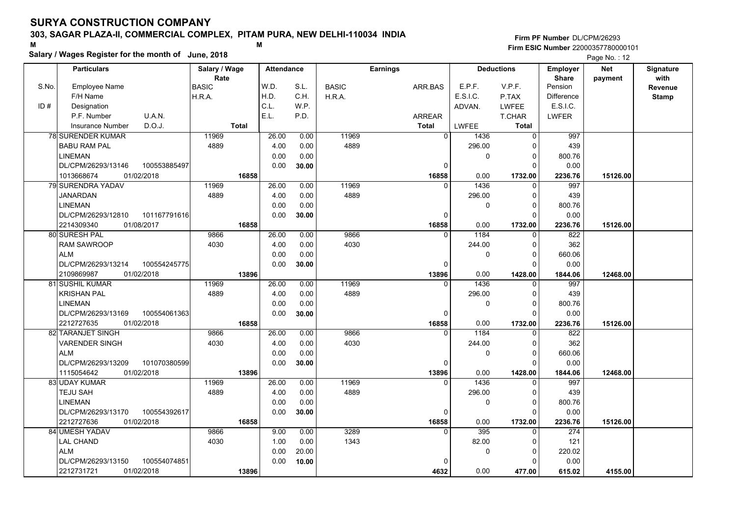### **303, SAGAR PLAZA-II, COMMERCIAL COMPLEX, PITAM PURA, NEW DELHI-110034 INDIA**

**Salary / Wages Register for the month of June, 2018 <sup>M</sup> <sup>M</sup>**

#### **Firm PF Number**DL/CPM/26293**Firm ESIC Number** 22000357780000101

|       | <b>Particulars</b>                 | Salary / Wage        | <b>Attendance</b> |       |              | <b>Earnings</b> |          | <b>Deductions</b> | Employer                | <b>Net</b> | Signature              |
|-------|------------------------------------|----------------------|-------------------|-------|--------------|-----------------|----------|-------------------|-------------------------|------------|------------------------|
| S.No. | <b>Employee Name</b>               | Rate<br><b>BASIC</b> | W.D.              | S.L.  | <b>BASIC</b> | ARR.BAS         | E.P.F.   | V.P.F.            | <b>Share</b><br>Pension | payment    | with<br><b>Revenue</b> |
|       | F/H Name                           | H.R.A.               | H.D.              | C.H.  | H.R.A.       |                 | E.S.I.C. | P.TAX             | <b>Difference</b>       |            | <b>Stamp</b>           |
| ID#   | Designation                        |                      | C.L.              | W.P.  |              |                 | ADVAN.   | LWFEE             | E.S.I.C.                |            |                        |
|       | U.A.N.<br>P.F. Number              |                      | E.L.              | P.D.  |              | <b>ARREAR</b>   |          | T.CHAR            | <b>LWFER</b>            |            |                        |
|       | D.O.J.<br>Insurance Number         | <b>Total</b>         |                   |       |              | <b>Total</b>    | LWFEE    | <b>Total</b>      |                         |            |                        |
|       | <b>78 SURENDER KUMAR</b>           | 11969                | 26.00             | 0.00  | 11969        | $\overline{0}$  | 1436     | $\mathbf 0$       | 997                     |            |                        |
|       | <b>BABU RAM PAL</b>                | 4889                 | 4.00              | 0.00  | 4889         |                 | 296.00   | $\mathbf 0$       | 439                     |            |                        |
|       | <b>LINEMAN</b>                     |                      | 0.00              | 0.00  |              |                 | 0        | $\mathbf 0$       | 800.76                  |            |                        |
|       | 100553885497<br>DL/CPM/26293/13146 |                      | 0.00              | 30.00 |              | $\Omega$        |          | $\Omega$          | 0.00                    |            |                        |
|       | 1013668674<br>01/02/2018           | 16858                |                   |       |              | 16858           | 0.00     | 1732.00           | 2236.76                 | 15126.00   |                        |
|       | 79 SURENDRA YADAV                  | 11969                | 26.00             | 0.00  | 11969        | $\Omega$        | 1436     | $\mathbf 0$       | 997                     |            |                        |
|       | <b>JANARDAN</b>                    | 4889                 | 4.00              | 0.00  | 4889         |                 | 296.00   | $\mathbf 0$       | 439                     |            |                        |
|       | <b>LINEMAN</b>                     |                      | 0.00              | 0.00  |              |                 | 0        | $\mathbf 0$       | 800.76                  |            |                        |
|       | DL/CPM/26293/12810<br>101167791616 |                      | 0.00              | 30.00 |              | 0               |          | $\Omega$          | 0.00                    |            |                        |
|       | 2214309340<br>01/08/2017           | 16858                |                   |       |              | 16858           | 0.00     | 1732.00           | 2236.76                 | 15126.00   |                        |
|       | 80 SURESH PAL                      | 9866                 | 26.00             | 0.00  | 9866         | $\Omega$        | 1184     | 0                 | 822                     |            |                        |
|       | <b>RAM SAWROOP</b>                 | 4030                 | 4.00              | 0.00  | 4030         |                 | 244.00   | 0                 | 362                     |            |                        |
|       | <b>ALM</b>                         |                      | 0.00              | 0.00  |              |                 | $\Omega$ | $\mathbf 0$       | 660.06                  |            |                        |
|       | DL/CPM/26293/13214<br>100554245775 |                      | 0.00              | 30.00 |              | $\Omega$        |          | $\Omega$          | 0.00                    |            |                        |
|       | 2109869987<br>01/02/2018           | 13896                |                   |       |              | 13896           | 0.00     | 1428.00           | 1844.06                 | 12468.00   |                        |
|       | 81 SUSHIL KUMAR                    | 11969                | 26.00             | 0.00  | 11969        | $\Omega$        | 1436     | $\mathbf 0$       | 997                     |            |                        |
|       | <b>KRISHAN PAL</b>                 | 4889                 | 4.00              | 0.00  | 4889         |                 | 296.00   | $\mathbf 0$       | 439                     |            |                        |
|       | <b>LINEMAN</b>                     |                      | 0.00              | 0.00  |              |                 | 0        | $\mathbf 0$       | 800.76                  |            |                        |
|       | DL/CPM/26293/13169<br>100554061363 |                      | 0.00              | 30.00 |              | $\Omega$        |          | $\mathbf 0$       | 0.00                    |            |                        |
|       | 2212727635<br>01/02/2018           | 16858                |                   |       |              | 16858           | 0.00     | 1732.00           | 2236.76                 | 15126.00   |                        |
|       | 82 TARANJET SINGH                  | 9866                 | 26.00             | 0.00  | 9866         | $\Omega$        | 1184     | $\Omega$          | 822                     |            |                        |
|       | <b>VARENDER SINGH</b>              | 4030                 | 4.00              | 0.00  | 4030         |                 | 244.00   | $\Omega$          | 362                     |            |                        |
|       | <b>ALM</b>                         |                      | 0.00              | 0.00  |              |                 | 0        | $\mathsf 0$       | 660.06                  |            |                        |
|       | DL/CPM/26293/13209<br>101070380599 |                      | 0.00              | 30.00 |              | 0               |          | $\Omega$          | 0.00                    |            |                        |
|       | 01/02/2018<br>1115054642           | 13896                |                   |       |              | 13896           | 0.00     | 1428.00           | 1844.06                 | 12468.00   |                        |
|       | 83 UDAY KUMAR                      | 11969                | 26.00             | 0.00  | 11969        | U               | 1436     | $\mathbf 0$       | 997                     |            |                        |
|       | TEJU SAH                           | 4889                 | 4.00              | 0.00  | 4889         |                 | 296.00   | $\mathbf 0$       | 439                     |            |                        |
|       | <b>LINEMAN</b>                     |                      | 0.00              | 0.00  |              |                 | 0        | $\mathbf 0$       | 800.76                  |            |                        |
|       | DL/CPM/26293/13170<br>100554392617 |                      | 0.00              | 30.00 |              | $\Omega$        |          | $\Omega$          | 0.00                    |            |                        |
|       | 2212727636<br>01/02/2018           | 16858                |                   |       |              | 16858           | 0.00     | 1732.00           | 2236.76                 | 15126.00   |                        |
|       | 84 UMESH YADAV                     | 9866                 | 9.00              | 0.00  | 3289         | $\Omega$        | 395      | $\mathbf 0$       | 274                     |            |                        |
|       | <b>LAL CHAND</b>                   | 4030                 | 1.00              | 0.00  | 1343         |                 | 82.00    | 0                 | 121                     |            |                        |
|       | <b>ALM</b>                         |                      | 0.00              | 20.00 |              |                 | 0        | $\mathbf 0$       | 220.02                  |            |                        |
|       | DL/CPM/26293/13150<br>100554074851 |                      | 0.00              | 10.00 |              | $\Omega$        |          | $\Omega$          | 0.00                    |            |                        |
|       | 2212731721<br>01/02/2018           | 13896                |                   |       |              | 4632            | 0.00     | 477.00            | 615.02                  | 4155.00    |                        |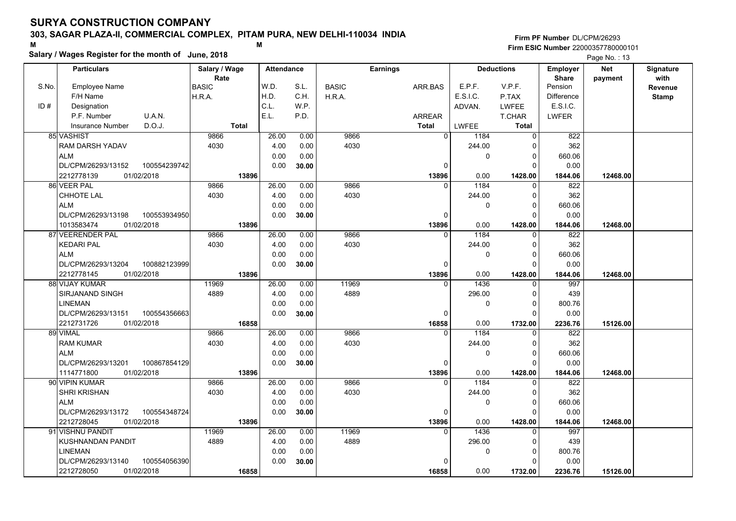### **303, SAGAR PLAZA-II, COMMERCIAL COMPLEX, PITAM PURA, NEW DELHI-110034 INDIA**

**Salary / Wages Register for the month of June, 2018 <sup>M</sup> <sup>M</sup>**

#### **Firm PF Number**DL/CPM/26293**Firm ESIC Number** 22000357780000101

|       | <b>Particulars</b>                 | Salary / Wage<br>Rate | <b>Attendance</b> |       | <b>Earnings</b> |               |                | <b>Deductions</b> |               | <b>Employer</b><br><b>Share</b> | <b>Net</b> | Signature<br>with |
|-------|------------------------------------|-----------------------|-------------------|-------|-----------------|---------------|----------------|-------------------|---------------|---------------------------------|------------|-------------------|
| S.No. | Employee Name                      | <b>BASIC</b>          | W.D.              | S.L.  | <b>BASIC</b>    | ARR.BAS       |                | E.P.F.            | V.P.F.        | Pension                         | payment    | <b>Revenue</b>    |
|       | F/H Name                           | H.R.A.                | H.D.              | C.H.  | H.R.A.          |               |                | E.S.I.C.          | P.TAX         | <b>Difference</b>               |            | <b>Stamp</b>      |
| ID#   | Designation                        |                       | C.L.              | W.P.  |                 |               |                | ADVAN.            | <b>LWFEE</b>  | E.S.I.C.                        |            |                   |
|       | U.A.N.<br>P.F. Number              |                       | E.L.              | P.D.  |                 | <b>ARREAR</b> |                |                   | <b>T.CHAR</b> | <b>LWFER</b>                    |            |                   |
|       | D.O.J.<br><b>Insurance Number</b>  | <b>Total</b>          |                   |       |                 | <b>Total</b>  |                | <b>LWFEE</b>      | <b>Total</b>  |                                 |            |                   |
|       | 85 VASHIST                         | 9866                  | 26.00             | 0.00  | 9866            |               | $\overline{0}$ | 1184              | $\mathbf 0$   | 822                             |            |                   |
|       | RAM DARSH YADAV                    | 4030                  | 4.00              | 0.00  | 4030            |               |                | 244.00            | $\Omega$      | 362                             |            |                   |
|       | <b>ALM</b>                         |                       | 0.00              | 0.00  |                 |               |                | 0                 | $\mathbf 0$   | 660.06                          |            |                   |
|       | DL/CPM/26293/13152<br>100554239742 |                       | 0.00              | 30.00 |                 |               | $\Omega$       |                   | $\Omega$      | 0.00                            |            |                   |
|       | 2212778139<br>01/02/2018           | 13896                 |                   |       |                 |               | 13896          | 0.00              | 1428.00       | 1844.06                         | 12468.00   |                   |
|       | 86 VEER PAL                        | 9866                  | 26.00             | 0.00  | 9866            |               | $\Omega$       | 1184              | 0             | 822                             |            |                   |
|       | <b>CHHOTE LAL</b>                  | 4030                  | 4.00              | 0.00  | 4030            |               |                | 244.00            | $\Omega$      | 362                             |            |                   |
|       | <b>ALM</b>                         |                       | 0.00              | 0.00  |                 |               |                | 0                 | $\Omega$      | 660.06                          |            |                   |
|       | DL/CPM/26293/13198<br>100553934950 |                       | 0.00              | 30.00 |                 |               | $\mathbf 0$    |                   | $\Omega$      | 0.00                            |            |                   |
|       | 1013583474<br>01/02/2018           | 13896                 |                   |       |                 |               | 13896          | 0.00              | 1428.00       | 1844.06                         | 12468.00   |                   |
|       | 87 VEERENDER PAL                   | 9866                  | 26.00             | 0.00  | 9866            |               | $\Omega$       | 1184              | $\Omega$      | 822                             |            |                   |
|       | <b>KEDARI PAL</b>                  | 4030                  | 4.00              | 0.00  | 4030            |               |                | 244.00            | $\Omega$      | 362                             |            |                   |
|       | <b>ALM</b>                         |                       | 0.00              | 0.00  |                 |               |                | 0                 | $\mathbf 0$   | 660.06                          |            |                   |
|       | DL/CPM/26293/13204<br>100882123999 |                       | 0.00              | 30.00 |                 |               | $\Omega$       |                   | $\Omega$      | 0.00                            |            |                   |
|       | 2212778145<br>01/02/2018           | 13896                 |                   |       |                 |               | 13896          | 0.00              | 1428.00       | 1844.06                         | 12468.00   |                   |
|       | 88 VIJAY KUMAR                     | 11969                 | 26.00             | 0.00  | 11969           |               | $\Omega$       | 1436              | $\mathbf 0$   | 997                             |            |                   |
|       | SIRJANAND SINGH                    | 4889                  | 4.00              | 0.00  | 4889            |               |                | 296.00            | $\mathbf 0$   | 439                             |            |                   |
|       | <b>LINEMAN</b>                     |                       | 0.00              | 0.00  |                 |               |                | $\Omega$          | $\Omega$      | 800.76                          |            |                   |
|       | DL/CPM/26293/13151<br>100554356663 |                       | 0.00              | 30.00 |                 |               | $\mathbf 0$    |                   | $\Omega$      | 0.00                            |            |                   |
|       | 2212731726<br>01/02/2018           | 16858                 |                   |       |                 |               | 16858          | 0.00              | 1732.00       | 2236.76                         | 15126.00   |                   |
|       | 89 VIMAL                           | 9866                  | 26.00             | 0.00  | 9866            |               | $\overline{0}$ | 1184              | $\Omega$      | 822                             |            |                   |
|       | <b>RAM KUMAR</b>                   | 4030                  | 4.00              | 0.00  | 4030            |               |                | 244.00            | $\Omega$      | 362                             |            |                   |
|       | <b>ALM</b>                         |                       | 0.00              | 0.00  |                 |               |                | 0                 | $\mathbf 0$   | 660.06                          |            |                   |
|       | DL/CPM/26293/13201<br>100867854129 |                       | 0.00              | 30.00 |                 |               | $\mathbf 0$    |                   | $\Omega$      | 0.00                            |            |                   |
|       | 1114771800<br>01/02/2018           | 13896                 |                   |       |                 |               | 13896          | 0.00              | 1428.00       | 1844.06                         | 12468.00   |                   |
|       | 90 VIPIN KUMAR                     | 9866                  | 26.00             | 0.00  | 9866            |               | $\Omega$       | 1184              | $\Omega$      | 822                             |            |                   |
|       | <b>SHRI KRISHAN</b>                | 4030                  | 4.00              | 0.00  | 4030            |               |                | 244.00            | $\Omega$      | 362                             |            |                   |
|       | <b>ALM</b>                         |                       | 0.00              | 0.00  |                 |               |                | 0                 | $\mathbf 0$   | 660.06                          |            |                   |
|       | 100554348724<br>DL/CPM/26293/13172 |                       | 0.00              | 30.00 |                 |               | $\mathbf 0$    |                   | $\Omega$      | 0.00                            |            |                   |
|       | 2212728045<br>01/02/2018           | 13896                 |                   |       |                 |               | 13896          | 0.00              | 1428.00       | 1844.06                         | 12468.00   |                   |
|       | 91 VISHNU PANDIT                   | 11969                 | 26.00             | 0.00  | 11969           |               | $\Omega$       | 1436              | $\Omega$      | 997                             |            |                   |
|       | KUSHNANDAN PANDIT                  | 4889                  | 4.00              | 0.00  | 4889            |               |                | 296.00            | $\Omega$      | 439                             |            |                   |
|       | <b>LINEMAN</b>                     |                       | 0.00              | 0.00  |                 |               |                | 0                 | $\mathbf 0$   | 800.76                          |            |                   |
|       | DL/CPM/26293/13140<br>100554056390 |                       | 0.00              | 30.00 |                 |               | 0              |                   | $\Omega$      | 0.00                            |            |                   |
|       | 01/02/2018<br>2212728050           | 16858                 |                   |       |                 |               | 16858          | 0.00              | 1732.00       | 2236.76                         | 15126.00   |                   |